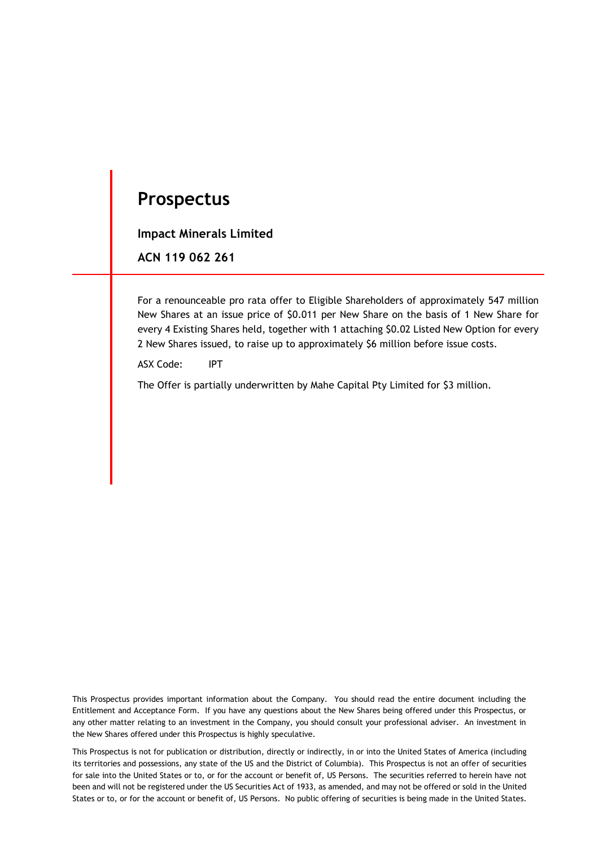# **Prospectus**

**Impact Minerals Limited**

**ACN 119 062 261**

For a renounceable pro rata offer to Eligible Shareholders of approximately 547 million New Shares at an issue price of \$0.011 per New Share on the basis of 1 New Share for every 4 Existing Shares held, together with 1 attaching \$0.02 Listed New Option for every 2 New Shares issued, to raise up to approximately \$6 million before issue costs.

ASX Code: IPT

The Offer is partially underwritten by Mahe Capital Pty Limited for \$3 million.

This Prospectus provides important information about the Company. You should read the entire document including the Entitlement and Acceptance Form. If you have any questions about the New Shares being offered under this Prospectus, or any other matter relating to an investment in the Company, you should consult your professional adviser. An investment in the New Shares offered under this Prospectus is highly speculative.

This Prospectus is not for publication or distribution, directly or indirectly, in or into the United States of America (including its territories and possessions, any state of the US and the District of Columbia). This Prospectus is not an offer of securities for sale into the United States or to, or for the account or benefit of, US Persons. The securities referred to herein have not been and will not be registered under the US Securities Act of 1933, as amended, and may not be offered or sold in the United States or to, or for the account or benefit of, US Persons. No public offering of securities is being made in the United States.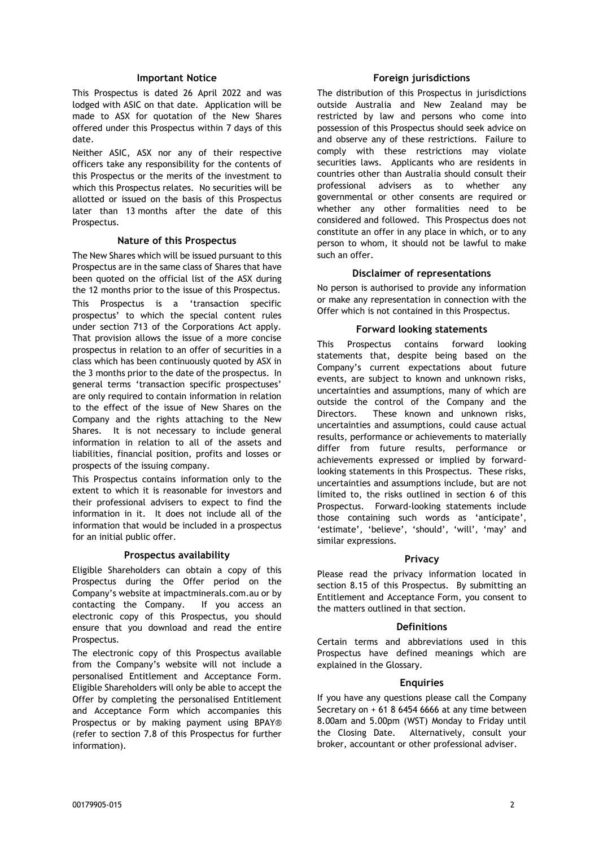#### **Important Notice**

This Prospectus is dated 26 April 2022 and was lodged with ASIC on that date. Application will be made to ASX for quotation of the New Shares offered under this Prospectus within 7 days of this date.

Neither ASIC, ASX nor any of their respective officers take any responsibility for the contents of this Prospectus or the merits of the investment to which this Prospectus relates. No securities will be allotted or issued on the basis of this Prospectus later than 13 months after the date of this Prospectus.

#### **Nature of this Prospectus**

The New Shares which will be issued pursuant to this Prospectus are in the same class of Shares that have been quoted on the official list of the ASX during the 12 months prior to the issue of this Prospectus. This Prospectus is a 'transaction specific prospectus' to which the special content rules under section 713 of the Corporations Act apply. That provision allows the issue of a more concise prospectus in relation to an offer of securities in a class which has been continuously quoted by ASX in the 3 months prior to the date of the prospectus. In general terms 'transaction specific prospectuses' are only required to contain information in relation to the effect of the issue of New Shares on the Company and the rights attaching to the New Shares. It is not necessary to include general information in relation to all of the assets and liabilities, financial position, profits and losses or prospects of the issuing company.

This Prospectus contains information only to the extent to which it is reasonable for investors and their professional advisers to expect to find the information in it. It does not include all of the information that would be included in a prospectus for an initial public offer.

#### **Prospectus availability**

Eligible Shareholders can obtain a copy of this Prospectus during the Offer period on the Company's website at impactminerals.com.au or by contacting the Company. If you access an electronic copy of this Prospectus, you should ensure that you download and read the entire Prospectus.

The electronic copy of this Prospectus available from the Company's website will not include a personalised Entitlement and Acceptance Form. Eligible Shareholders will only be able to accept the Offer by completing the personalised Entitlement and Acceptance Form which accompanies this Prospectus or by making payment using BPAY® (refer to section [7.8](#page-18-0) of this Prospectus for further information).

#### **Foreign jurisdictions**

The distribution of this Prospectus in jurisdictions outside Australia and New Zealand may be restricted by law and persons who come into possession of this Prospectus should seek advice on and observe any of these restrictions. Failure to comply with these restrictions may violate securities laws. Applicants who are residents in countries other than Australia should consult their professional advisers as to whether any governmental or other consents are required or whether any other formalities need to be considered and followed. This Prospectus does not constitute an offer in any place in which, or to any person to whom, it should not be lawful to make such an offer.

#### **Disclaimer of representations**

No person is authorised to provide any information or make any representation in connection with the Offer which is not contained in this Prospectus.

#### **Forward looking statements**

This Prospectus contains forward looking statements that, despite being based on the Company's current expectations about future events, are subject to known and unknown risks, uncertainties and assumptions, many of which are outside the control of the Company and the Directors. These known and unknown risks, uncertainties and assumptions, could cause actual results, performance or achievements to materially differ from future results, performance or achievements expressed or implied by forwardlooking statements in this Prospectus. These risks, uncertainties and assumptions include, but are not limited to, the risks outlined in section 6 of this Prospectus. Forward-looking statements include those containing such words as 'anticipate', 'estimate', 'believe', 'should', 'will', 'may' and similar expressions.

#### **Privacy**

Please read the privacy information located in section [8.15](#page-26-0) of this Prospectus. By submitting an Entitlement and Acceptance Form, you consent to the matters outlined in that section.

#### **Definitions**

Certain terms and abbreviations used in this Prospectus have defined meanings which are explained in the Glossary.

#### **Enquiries**

If you have any questions please call the Company Secretary on + 61 8 6454 6666 at any time between 8.00am and 5.00pm (WST) Monday to Friday until the Closing Date. Alternatively, consult your broker, accountant or other professional adviser.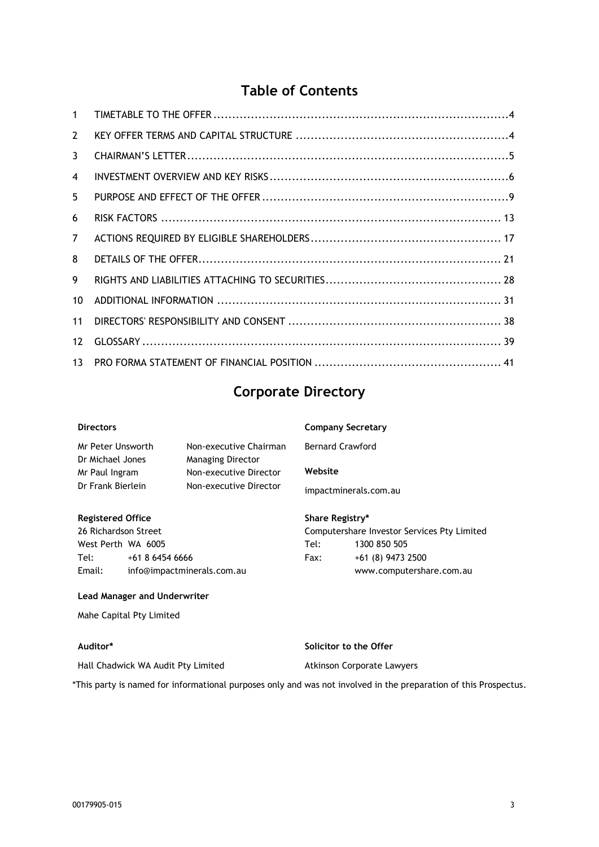# **Table of Contents**

| $\mathbf{1}$    |  |
|-----------------|--|
| $\overline{2}$  |  |
| 3               |  |
| $\overline{4}$  |  |
| 5               |  |
| 6               |  |
| $\overline{7}$  |  |
| 8               |  |
| 9               |  |
| 10 <sup>1</sup> |  |
| 11              |  |
| 12              |  |
| 13 <sup>1</sup> |  |
|                 |  |

# **Corporate Directory**

| <b>Directors</b>  |                          | <b>Company Secretary</b> |
|-------------------|--------------------------|--------------------------|
| Mr Peter Unsworth | Non-executive Chairman   | <b>Bernard Crawford</b>  |
| Dr Michael Jones  | <b>Managing Director</b> |                          |
| Mr Paul Ingram    | Non-executive Director   | Website                  |
| Dr Frank Bierlein | Non-executive Director   | impactminerals.com.au    |

**Registered Office** 26 Richardson Street West Perth WA 6005 Tel: +61 8 6454 6666 Email: info@impactminerals.com.au

#### **Lead Manager and Underwriter**

Mahe Capital Pty Limited

#### **Auditor\***

**Solicitor to the Offer**

Atkinson Corporate Lawyers

**Share Registry\***

Tel: 1300 850 505 Fax: +61 (8) 9473 2500

Computershare Investor Services Pty Limited

www.computershare.com.au

Hall Chadwick WA Audit Pty Limited

\*This party is named for informational purposes only and was not involved in the preparation of this Prospectus.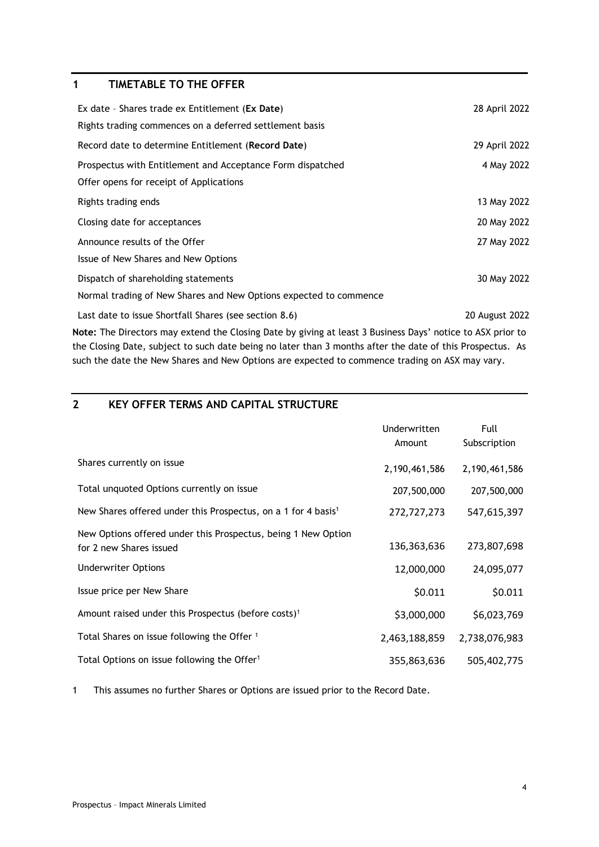# <span id="page-3-0"></span>**1 TIMETABLE TO THE OFFER**

| Ex date - Shares trade ex Entitlement (Ex Date)                   | 28 April 2022  |
|-------------------------------------------------------------------|----------------|
| Rights trading commences on a deferred settlement basis           |                |
| Record date to determine Entitlement (Record Date)                | 29 April 2022  |
| Prospectus with Entitlement and Acceptance Form dispatched        | 4 May 2022     |
| Offer opens for receipt of Applications                           |                |
| Rights trading ends                                               | 13 May 2022    |
| Closing date for acceptances                                      | 20 May 2022    |
| Announce results of the Offer                                     | 27 May 2022    |
| Issue of New Shares and New Options                               |                |
| Dispatch of shareholding statements                               | 30 May 2022    |
| Normal trading of New Shares and New Options expected to commence |                |
| Last date to issue Shortfall Shares (see section 8.6)             | 20 August 2022 |
|                                                                   |                |

**Note:** The Directors may extend the Closing Date by giving at least 3 Business Days' notice to ASX prior to the Closing Date, subject to such date being no later than 3 months after the date of this Prospectus. As such the date the New Shares and New Options are expected to commence trading on ASX may vary.

## <span id="page-3-1"></span>**2 KEY OFFER TERMS AND CAPITAL STRUCTURE**

|                                                                                          | <b>Underwritten</b><br>Amount | Full<br>Subscription |
|------------------------------------------------------------------------------------------|-------------------------------|----------------------|
| Shares currently on issue                                                                | 2,190,461,586                 | 2,190,461,586        |
| Total unquoted Options currently on issue                                                | 207,500,000                   | 207,500,000          |
| New Shares offered under this Prospectus, on a 1 for 4 basis <sup>1</sup>                | 272,727,273                   | 547,615,397          |
| New Options offered under this Prospectus, being 1 New Option<br>for 2 new Shares issued | 136,363,636                   | 273,807,698          |
| <b>Underwriter Options</b>                                                               | 12,000,000                    | 24,095,077           |
| Issue price per New Share                                                                | \$0.011                       | \$0.011              |
| Amount raised under this Prospectus (before costs) <sup>1</sup>                          | \$3,000,000                   | \$6,023,769          |
| Total Shares on issue following the Offer <sup>1</sup>                                   | 2,463,188,859                 | 2,738,076,983        |
| Total Options on issue following the Offer <sup>1</sup>                                  | 355,863,636                   | 505,402,775          |

1 This assumes no further Shares or Options are issued prior to the Record Date.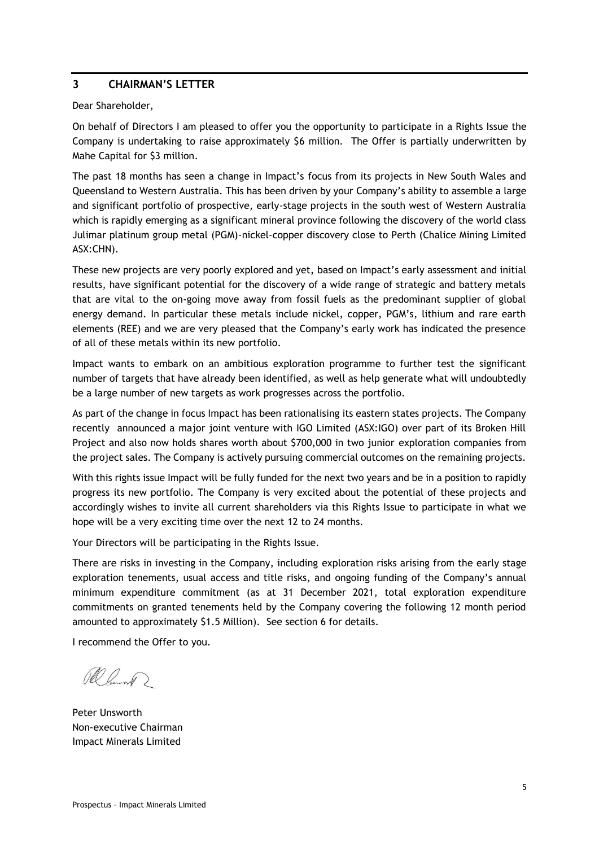## <span id="page-4-0"></span>**3 CHAIRMAN'S LETTER**

Dear Shareholder,

On behalf of Directors I am pleased to offer you the opportunity to participate in a Rights Issue the Company is undertaking to raise approximately \$6 million. The Offer is partially underwritten by Mahe Capital for \$3 million.

The past 18 months has seen a change in Impact's focus from its projects in New South Wales and Queensland to Western Australia. This has been driven by your Company's ability to assemble a large and significant portfolio of prospective, early-stage projects in the south west of Western Australia which is rapidly emerging as a significant mineral province following the discovery of the world class Julimar platinum group metal (PGM)-nickel-copper discovery close to Perth (Chalice Mining Limited ASX:CHN).

These new projects are very poorly explored and yet, based on Impact's early assessment and initial results, have significant potential for the discovery of a wide range of strategic and battery metals that are vital to the on-going move away from fossil fuels as the predominant supplier of global energy demand. In particular these metals include nickel, copper, PGM's, lithium and rare earth elements (REE) and we are very pleased that the Company's early work has indicated the presence of all of these metals within its new portfolio.

Impact wants to embark on an ambitious exploration programme to further test the significant number of targets that have already been identified, as well as help generate what will undoubtedly be a large number of new targets as work progresses across the portfolio.

As part of the change in focus Impact has been rationalising its eastern states projects. The Company recently announced a major joint venture with IGO Limited (ASX:IGO) over part of its Broken Hill Project and also now holds shares worth about \$700,000 in two junior exploration companies from the project sales. The Company is actively pursuing commercial outcomes on the remaining projects.

With this rights issue Impact will be fully funded for the next two years and be in a position to rapidly progress its new portfolio. The Company is very excited about the potential of these projects and accordingly wishes to invite all current shareholders via this Rights Issue to participate in what we hope will be a very exciting time over the next 12 to 24 months.

Your Directors will be participating in the Rights Issue.

There are risks in investing in the Company, including exploration risks arising from the early stage exploration tenements, usual access and title risks, and ongoing funding of the Company's annual minimum expenditure commitment (as at 31 December 2021, total exploration expenditure commitments on granted tenements held by the Company covering the following 12 month period amounted to approximately \$1.5 Million). See section 6 for details.

I recommend the Offer to you.

Ramond ?

Peter Unsworth Non-executive Chairman Impact Minerals Limited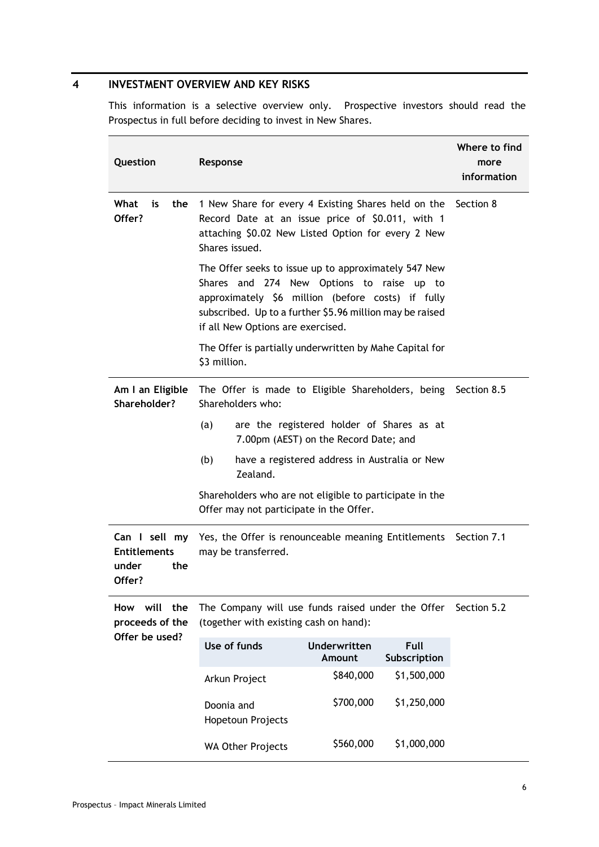# <span id="page-5-0"></span>**4 INVESTMENT OVERVIEW AND KEY RISKS**

This information is a selective overview only. Prospective investors should read the Prospectus in full before deciding to invest in New Shares.

| Question                                                       | Where to find<br>more<br>information                                                                                                                                                                                                                    |             |  |  |
|----------------------------------------------------------------|---------------------------------------------------------------------------------------------------------------------------------------------------------------------------------------------------------------------------------------------------------|-------------|--|--|
| What<br>is<br>the<br>Offer?                                    | 1 New Share for every 4 Existing Shares held on the Section 8<br>Record Date at an issue price of \$0.011, with 1<br>attaching \$0.02 New Listed Option for every 2 New<br>Shares issued.                                                               |             |  |  |
|                                                                | The Offer seeks to issue up to approximately 547 New<br>Shares and 274 New Options to raise up to<br>approximately \$6 million (before costs) if fully<br>subscribed. Up to a further \$5.96 million may be raised<br>if all New Options are exercised. |             |  |  |
|                                                                | The Offer is partially underwritten by Mahe Capital for<br>\$3 million.                                                                                                                                                                                 |             |  |  |
| Am I an Eligible<br>Shareholder?                               | The Offer is made to Eligible Shareholders, being Section 8.5<br>Shareholders who:                                                                                                                                                                      |             |  |  |
|                                                                | are the registered holder of Shares as at<br>(a)<br>7.00pm (AEST) on the Record Date; and                                                                                                                                                               |             |  |  |
|                                                                | (b)<br>have a registered address in Australia or New<br>Zealand.                                                                                                                                                                                        |             |  |  |
|                                                                | Shareholders who are not eligible to participate in the<br>Offer may not participate in the Offer.                                                                                                                                                      |             |  |  |
| Can I sell my<br><b>Entitlements</b><br>under<br>the<br>Offer? | Yes, the Offer is renounceable meaning Entitlements<br>may be transferred.                                                                                                                                                                              | Section 7.1 |  |  |
| will<br>the<br>How<br>proceeds of the                          | The Company will use funds raised under the Offer Section 5.2<br>(together with existing cash on hand):                                                                                                                                                 |             |  |  |
| Offer be used?                                                 | Use of funds<br>Underwritten<br>Full<br>Amount<br>Subscription                                                                                                                                                                                          |             |  |  |
|                                                                | \$840,000<br>\$1,500,000<br>Arkun Project                                                                                                                                                                                                               |             |  |  |
|                                                                | \$700,000<br>\$1,250,000<br>Doonia and<br>Hopetoun Projects                                                                                                                                                                                             |             |  |  |
|                                                                | \$560,000<br>\$1,000,000<br><b>WA Other Projects</b>                                                                                                                                                                                                    |             |  |  |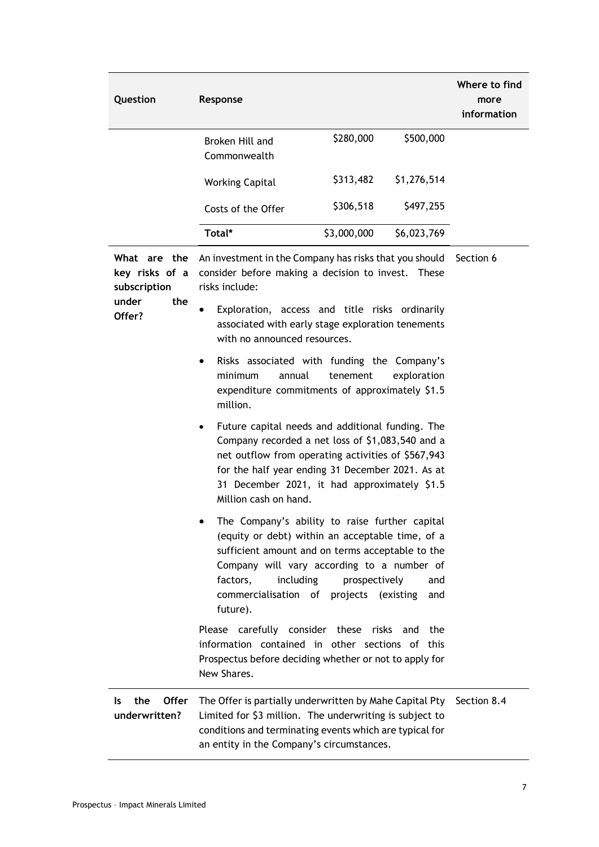| Question                                       | Response                                                                                                                                                                                                                                                                                             |                                     |              | Where to find<br>more<br>information |
|------------------------------------------------|------------------------------------------------------------------------------------------------------------------------------------------------------------------------------------------------------------------------------------------------------------------------------------------------------|-------------------------------------|--------------|--------------------------------------|
|                                                | Broken Hill and<br>Commonwealth                                                                                                                                                                                                                                                                      | \$280,000                           | \$500,000    |                                      |
|                                                | <b>Working Capital</b>                                                                                                                                                                                                                                                                               | \$313,482                           | \$1,276,514  |                                      |
|                                                | Costs of the Offer                                                                                                                                                                                                                                                                                   | \$306,518                           | \$497,255    |                                      |
|                                                | Total*                                                                                                                                                                                                                                                                                               | \$3,000,000                         | \$6,023,769  |                                      |
| What are the<br>key risks of a<br>subscription | An investment in the Company has risks that you should<br>consider before making a decision to invest.<br>risks include:                                                                                                                                                                             |                                     | <b>These</b> | Section 6                            |
| the<br>under<br>Offer?                         | Exploration, access and title risks ordinarily<br>$\bullet$<br>associated with early stage exploration tenements<br>with no announced resources.                                                                                                                                                     |                                     |              |                                      |
|                                                | Risks associated with funding the Company's<br>٠<br>minimum<br>annual<br>expenditure commitments of approximately \$1.5<br>million.                                                                                                                                                                  | tenement                            | exploration  |                                      |
|                                                | Future capital needs and additional funding. The<br>$\bullet$<br>Company recorded a net loss of \$1,083,540 and a<br>net outflow from operating activities of \$567,943<br>for the half year ending 31 December 2021. As at<br>31 December 2021, it had approximately \$1.5<br>Million cash on hand. |                                     |              |                                      |
|                                                | The Company's ability to raise further capital<br>(equity or debt) within an acceptable time, of a<br>sufficient amount and on terms acceptable to the<br>Company will vary according to a number of<br>factors,<br>including<br>commercialisation of<br>future).                                    | prospectively<br>projects (existing | and<br>and   |                                      |
|                                                | Please carefully consider these risks and<br>information contained in other sections of this<br>Prospectus before deciding whether or not to apply for                                                                                                                                               |                                     | the          |                                      |

**Is** the **underwritten?** The Offer is partially underwritten by Mahe Capital Pty Section [8.4](#page-20-1)Limited for \$3 million. The underwriting is subject to conditions and terminating events which are typical for an entity in the Company's circumstances.

New Shares.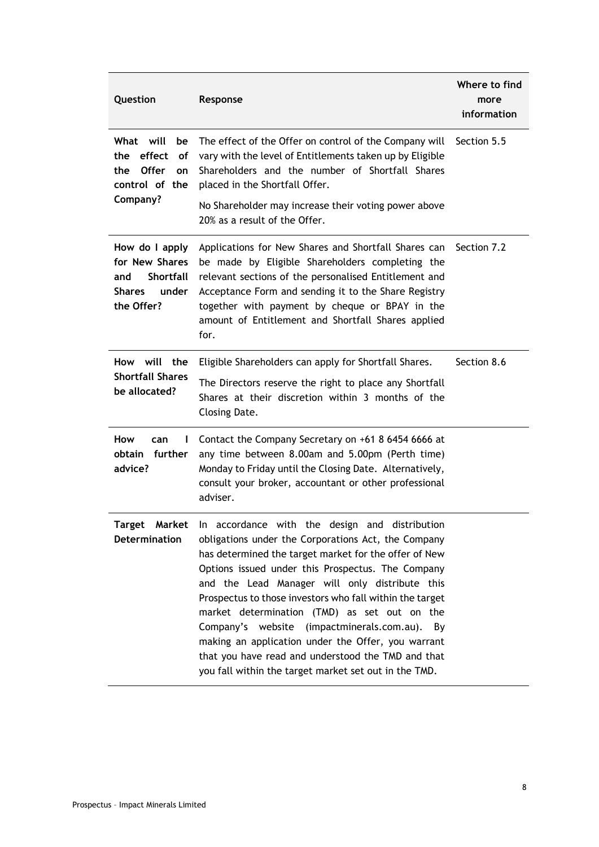| Question<br>Response                                                                                |                                                                                                                                                                                                                                                                                                                                                                                                                                                                                                                                                                                                                   | Where to find<br>more<br>information |
|-----------------------------------------------------------------------------------------------------|-------------------------------------------------------------------------------------------------------------------------------------------------------------------------------------------------------------------------------------------------------------------------------------------------------------------------------------------------------------------------------------------------------------------------------------------------------------------------------------------------------------------------------------------------------------------------------------------------------------------|--------------------------------------|
| What will<br>be<br>effect<br>the<br>οf<br><b>Offer</b><br>the<br>on<br>control of the<br>Company?   | The effect of the Offer on control of the Company will Section 5.5<br>vary with the level of Entitlements taken up by Eligible<br>Shareholders and the number of Shortfall Shares<br>placed in the Shortfall Offer.<br>No Shareholder may increase their voting power above<br>20% as a result of the Offer.                                                                                                                                                                                                                                                                                                      |                                      |
| How do I apply<br>for New Shares<br><b>Shortfall</b><br>and<br><b>Shares</b><br>under<br>the Offer? | Applications for New Shares and Shortfall Shares can<br>Section 7.2<br>be made by Eligible Shareholders completing the<br>relevant sections of the personalised Entitlement and<br>Acceptance Form and sending it to the Share Registry<br>together with payment by cheque or BPAY in the<br>amount of Entitlement and Shortfall Shares applied<br>for.                                                                                                                                                                                                                                                           |                                      |
| How will the<br><b>Shortfall Shares</b><br>be allocated?                                            | Eligible Shareholders can apply for Shortfall Shares.<br>The Directors reserve the right to place any Shortfall<br>Shares at their discretion within 3 months of the<br>Closing Date.                                                                                                                                                                                                                                                                                                                                                                                                                             | Section 8.6                          |
| How<br>can<br>L<br>obtain<br>further<br>advice?                                                     | Contact the Company Secretary on +61 8 6454 6666 at<br>any time between 8.00am and 5.00pm (Perth time)<br>Monday to Friday until the Closing Date. Alternatively,<br>consult your broker, accountant or other professional<br>adviser.                                                                                                                                                                                                                                                                                                                                                                            |                                      |
| Target<br>Determination                                                                             | Market In accordance with the design and distribution<br>obligations under the Corporations Act, the Company<br>has determined the target market for the offer of New<br>Options issued under this Prospectus. The Company<br>and the Lead Manager will only distribute this<br>Prospectus to those investors who fall within the target<br>market determination (TMD) as set out on the<br>Company's website (impactminerals.com.au).<br>By<br>making an application under the Offer, you warrant<br>that you have read and understood the TMD and that<br>you fall within the target market set out in the TMD. |                                      |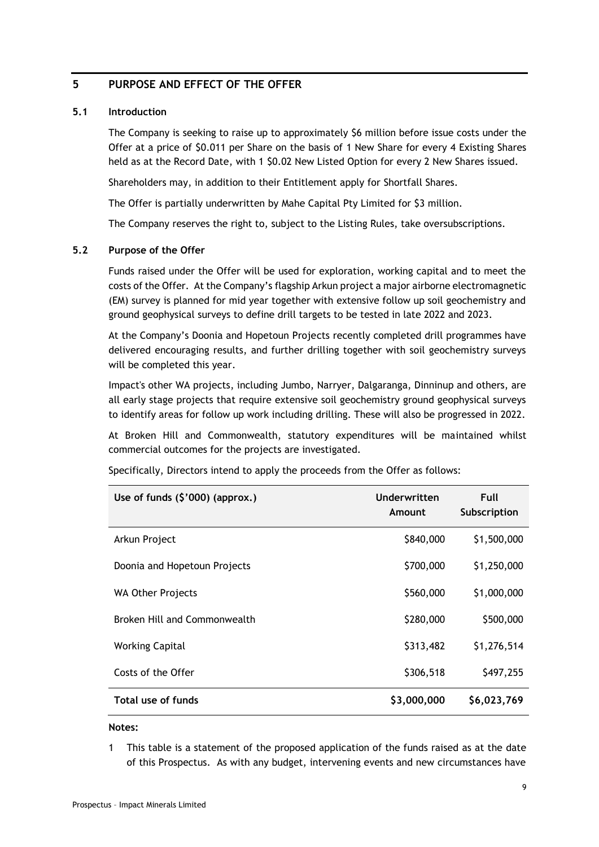## <span id="page-8-0"></span>**5 PURPOSE AND EFFECT OF THE OFFER**

#### **5.1 Introduction**

The Company is seeking to raise up to approximately \$6 million before issue costs under the Offer at a price of \$0.011 per Share on the basis of 1 New Share for every 4 Existing Shares held as at the Record Date, with 1 \$0.02 New Listed Option for every 2 New Shares issued.

Shareholders may, in addition to their Entitlement apply for Shortfall Shares.

The Offer is partially underwritten by Mahe Capital Pty Limited for \$3 million.

The Company reserves the right to, subject to the Listing Rules, take oversubscriptions.

#### <span id="page-8-1"></span>**5.2 Purpose of the Offer**

Funds raised under the Offer will be used for exploration, working capital and to meet the costs of the Offer. At the Company's flagship Arkun project a major airborne electromagnetic (EM) survey is planned for mid year together with extensive follow up soil geochemistry and ground geophysical surveys to define drill targets to be tested in late 2022 and 2023.

At the Company's Doonia and Hopetoun Projects recently completed drill programmes have delivered encouraging results, and further drilling together with soil geochemistry surveys will be completed this year.

Impact's other WA projects, including Jumbo, Narryer, Dalgaranga, Dinninup and others, are all early stage projects that require extensive soil geochemistry ground geophysical surveys to identify areas for follow up work including drilling. These will also be progressed in 2022.

At Broken Hill and Commonwealth, statutory expenditures will be maintained whilst commercial outcomes for the projects are investigated.

| Use of funds $(\frac{5}{000})$ (approx.) | Underwritten<br>Amount | Full<br>Subscription |
|------------------------------------------|------------------------|----------------------|
| Arkun Project                            | \$840,000              | \$1,500,000          |
| Doonia and Hopetoun Projects             | \$700,000              | \$1,250,000          |
| <b>WA Other Projects</b>                 | \$560,000              | \$1,000,000          |
| Broken Hill and Commonwealth             | \$280,000              | \$500,000            |
| <b>Working Capital</b>                   | \$313,482              | \$1,276,514          |
| Costs of the Offer                       | \$306,518              | \$497,255            |
| Total use of funds                       | \$3,000,000            | \$6,023,769          |

Specifically, Directors intend to apply the proceeds from the Offer as follows:

#### **Notes:**

1 This table is a statement of the proposed application of the funds raised as at the date of this Prospectus. As with any budget, intervening events and new circumstances have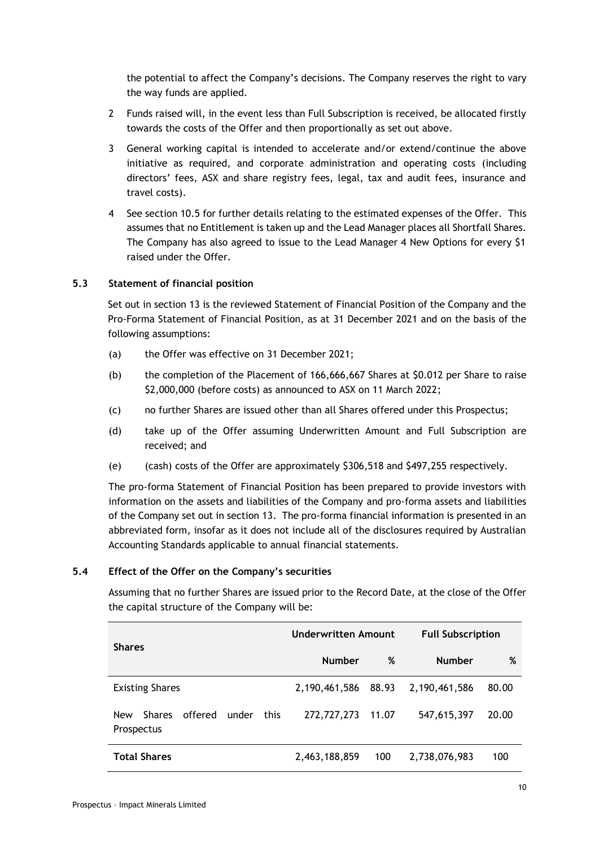the potential to affect the Company's decisions. The Company reserves the right to vary the way funds are applied.

- 2 Funds raised will, in the event less than Full Subscription is received, be allocated firstly towards the costs of the Offer and then proportionally as set out above.
- 3 General working capital is intended to accelerate and/or extend/continue the above initiative as required, and corporate administration and operating costs (including directors' fees, ASX and share registry fees, legal, tax and audit fees, insurance and travel costs).
- 4 See section [10.5](#page-36-0) for further details relating to the estimated expenses of the Offer. This assumes that no Entitlement is taken up and the Lead Manager places all Shortfall Shares. The Company has also agreed to issue to the Lead Manager 4 New Options for every \$1 raised under the Offer.

## **5.3 Statement of financial position**

Set out in section [13](#page-40-0) is the reviewed Statement of Financial Position of the Company and the Pro-Forma Statement of Financial Position, as at 31 December 2021 and on the basis of the following assumptions:

- (a) the Offer was effective on 31 December 2021;
- (b) the completion of the Placement of 166,666,667 Shares at \$0.012 per Share to raise \$2,000,000 (before costs) as announced to ASX on 11 March 2022;
- (c) no further Shares are issued other than all Shares offered under this Prospectus;
- (d) take up of the Offer assuming Underwritten Amount and Full Subscription are received; and
- (e) (cash) costs of the Offer are approximately \$306,518 and \$497,255 respectively.

The pro-forma Statement of Financial Position has been prepared to provide investors with information on the assets and liabilities of the Company and pro-forma assets and liabilities of the Company set out in section [13.](#page-40-0) The pro-forma financial information is presented in an abbreviated form, insofar as it does not include all of the disclosures required by Australian Accounting Standards applicable to annual financial statements.

## **5.4 Effect of the Offer on the Company's securities**

Assuming that no further Shares are issued prior to the Record Date, at the close of the Offer the capital structure of the Company will be:

| <b>Shares</b>                                                         | <b>Underwritten Amount</b> |       | <b>Full Subscription</b> |       |
|-----------------------------------------------------------------------|----------------------------|-------|--------------------------|-------|
|                                                                       | <b>Number</b>              | %     | <b>Number</b>            | %     |
| <b>Existing Shares</b>                                                | 2,190,461,586              | 88.93 | 2,190,461,586            | 80.00 |
| offered<br>under<br>this<br><b>Shares</b><br><b>New</b><br>Prospectus | 272,727,273                | 11.07 | 547,615,397              | 20.00 |
| <b>Total Shares</b>                                                   | 2,463,188,859              | 100   | 2,738,076,983            | 100   |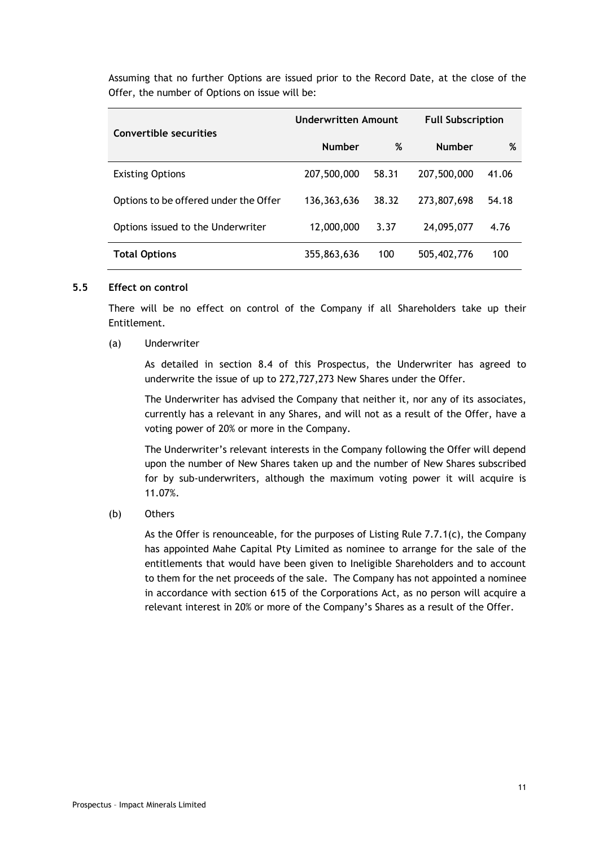Assuming that no further Options are issued prior to the Record Date, at the close of the Offer, the number of Options on issue will be:

| Convertible securities                | Underwritten Amount |       | <b>Full Subscription</b> |       |
|---------------------------------------|---------------------|-------|--------------------------|-------|
|                                       | <b>Number</b>       | %     | <b>Number</b>            | %     |
| <b>Existing Options</b>               | 207,500,000         | 58.31 | 207,500,000              | 41.06 |
| Options to be offered under the Offer | 136,363,636         | 38.32 | 273,807,698              | 54.18 |
| Options issued to the Underwriter     | 12,000,000          | 3.37  | 24,095,077               | 4.76  |
| <b>Total Options</b>                  | 355,863,636         | 100   | 505,402,776              | 100   |

#### **5.5 Effect on control**

There will be no effect on control of the Company if all Shareholders take up their Entitlement.

(a) Underwriter

As detailed in section [8.4](#page-20-1) of this Prospectus, the Underwriter has agreed to underwrite the issue of up to 272,727,273 New Shares under the Offer.

The Underwriter has advised the Company that neither it, nor any of its associates, currently has a relevant in any Shares, and will not as a result of the Offer, have a voting power of 20% or more in the Company.

The Underwriter's relevant interests in the Company following the Offer will depend upon the number of New Shares taken up and the number of New Shares subscribed for by sub-underwriters, although the maximum voting power it will acquire is 11.07%.

(b) Others

As the Offer is renounceable, for the purposes of Listing Rule 7.7.1(c), the Company has appointed Mahe Capital Pty Limited as nominee to arrange for the sale of the entitlements that would have been given to Ineligible Shareholders and to account to them for the net proceeds of the sale. The Company has not appointed a nominee in accordance with section 615 of the Corporations Act, as no person will acquire a relevant interest in 20% or more of the Company's Shares as a result of the Offer.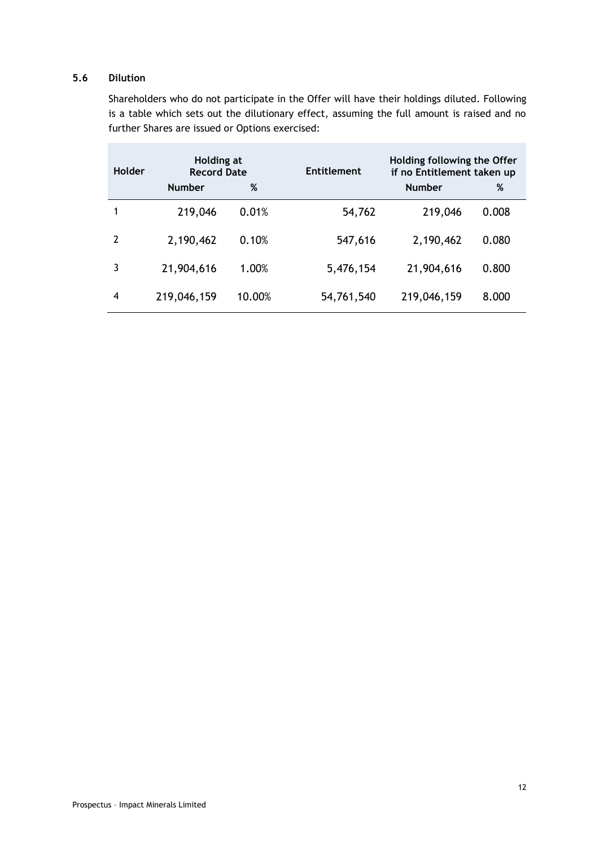# **5.6 Dilution**

Shareholders who do not participate in the Offer will have their holdings diluted. Following is a table which sets out the dilutionary effect, assuming the full amount is raised and no further Shares are issued or Options exercised:

| Holder         | Holding at<br><b>Record Date</b> |        | <b>Entitlement</b> | Holding following the Offer<br>if no Entitlement taken up |       |
|----------------|----------------------------------|--------|--------------------|-----------------------------------------------------------|-------|
|                | <b>Number</b>                    | %      |                    | <b>Number</b>                                             | %     |
|                | 219,046                          | 0.01%  | 54,762             | 219,046                                                   | 0.008 |
| $\overline{2}$ | 2,190,462                        | 0.10%  | 547,616            | 2,190,462                                                 | 0.080 |
| 3              | 21,904,616                       | 1.00%  | 5,476,154          | 21,904,616                                                | 0.800 |
| 4              | 219,046,159                      | 10.00% | 54,761,540         | 219,046,159                                               | 8.000 |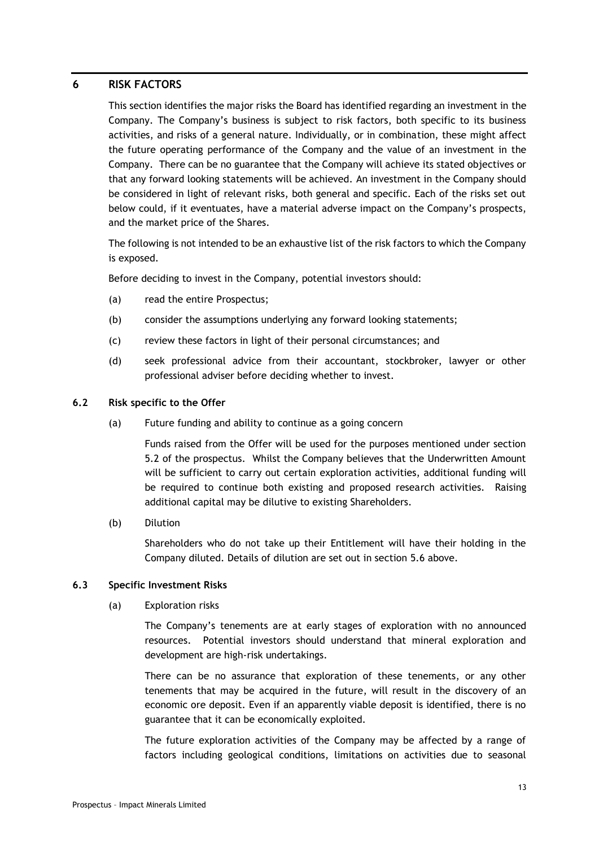## <span id="page-12-0"></span>**6 RISK FACTORS**

This section identifies the major risks the Board has identified regarding an investment in the Company. The Company's business is subject to risk factors, both specific to its business activities, and risks of a general nature. Individually, or in combination, these might affect the future operating performance of the Company and the value of an investment in the Company. There can be no guarantee that the Company will achieve its stated objectives or that any forward looking statements will be achieved. An investment in the Company should be considered in light of relevant risks, both general and specific. Each of the risks set out below could, if it eventuates, have a material adverse impact on the Company's prospects, and the market price of the Shares.

The following is not intended to be an exhaustive list of the risk factors to which the Company is exposed.

Before deciding to invest in the Company, potential investors should:

- (a) read the entire Prospectus;
- (b) consider the assumptions underlying any forward looking statements;
- (c) review these factors in light of their personal circumstances; and
- (d) seek professional advice from their accountant, stockbroker, lawyer or other professional adviser before deciding whether to invest.

#### **6.2 Risk specific to the Offer**

(a) Future funding and ability to continue as a going concern

Funds raised from the Offer will be used for the purposes mentioned under section [5.2](#page-8-1) of the prospectus. Whilst the Company believes that the Underwritten Amount will be sufficient to carry out certain exploration activities, additional funding will be required to continue both existing and proposed research activities. Raising additional capital may be dilutive to existing Shareholders.

(b) Dilution

Shareholders who do not take up their Entitlement will have their holding in the Company diluted. Details of dilution are set out in section 5.6 above.

#### **6.3 Specific Investment Risks**

(a) Exploration risks

The Company's tenements are at early stages of exploration with no announced resources. Potential investors should understand that mineral exploration and development are high-risk undertakings.

There can be no assurance that exploration of these tenements, or any other tenements that may be acquired in the future, will result in the discovery of an economic ore deposit. Even if an apparently viable deposit is identified, there is no guarantee that it can be economically exploited.

The future exploration activities of the Company may be affected by a range of factors including geological conditions, limitations on activities due to seasonal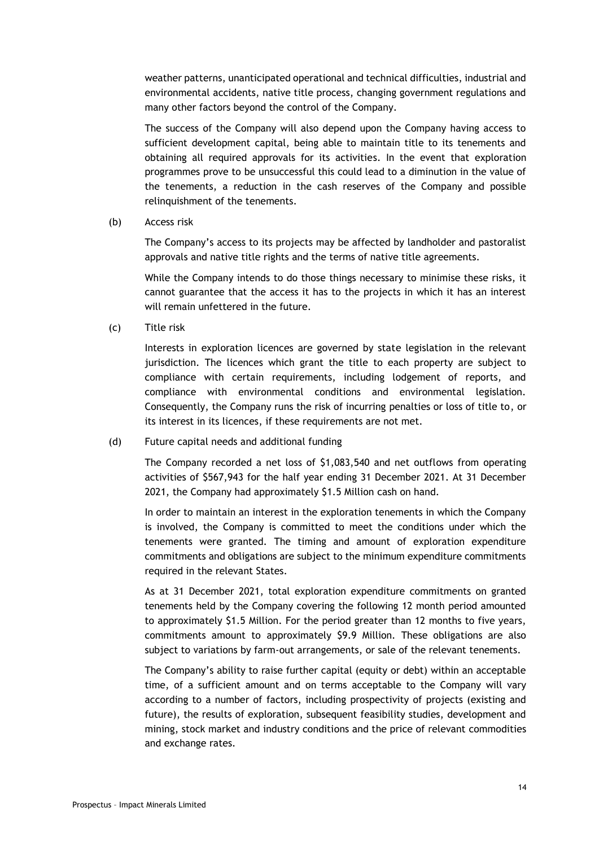weather patterns, unanticipated operational and technical difficulties, industrial and environmental accidents, native title process, changing government regulations and many other factors beyond the control of the Company.

The success of the Company will also depend upon the Company having access to sufficient development capital, being able to maintain title to its tenements and obtaining all required approvals for its activities. In the event that exploration programmes prove to be unsuccessful this could lead to a diminution in the value of the tenements, a reduction in the cash reserves of the Company and possible relinquishment of the tenements.

(b) Access risk

The Company's access to its projects may be affected by landholder and pastoralist approvals and native title rights and the terms of native title agreements.

While the Company intends to do those things necessary to minimise these risks, it cannot guarantee that the access it has to the projects in which it has an interest will remain unfettered in the future.

(c) Title risk

Interests in exploration licences are governed by state legislation in the relevant jurisdiction. The licences which grant the title to each property are subject to compliance with certain requirements, including lodgement of reports, and compliance with environmental conditions and environmental legislation. Consequently, the Company runs the risk of incurring penalties or loss of title to, or its interest in its licences, if these requirements are not met.

(d) Future capital needs and additional funding

The Company recorded a net loss of \$1,083,540 and net outflows from operating activities of \$567,943 for the half year ending 31 December 2021. At 31 December 2021, the Company had approximately \$1.5 Million cash on hand.

In order to maintain an interest in the exploration tenements in which the Company is involved, the Company is committed to meet the conditions under which the tenements were granted. The timing and amount of exploration expenditure commitments and obligations are subject to the minimum expenditure commitments required in the relevant States.

As at 31 December 2021, total exploration expenditure commitments on granted tenements held by the Company covering the following 12 month period amounted to approximately \$1.5 Million. For the period greater than 12 months to five years, commitments amount to approximately \$9.9 Million. These obligations are also subject to variations by farm-out arrangements, or sale of the relevant tenements.

The Company's ability to raise further capital (equity or debt) within an acceptable time, of a sufficient amount and on terms acceptable to the Company will vary according to a number of factors, including prospectivity of projects (existing and future), the results of exploration, subsequent feasibility studies, development and mining, stock market and industry conditions and the price of relevant commodities and exchange rates.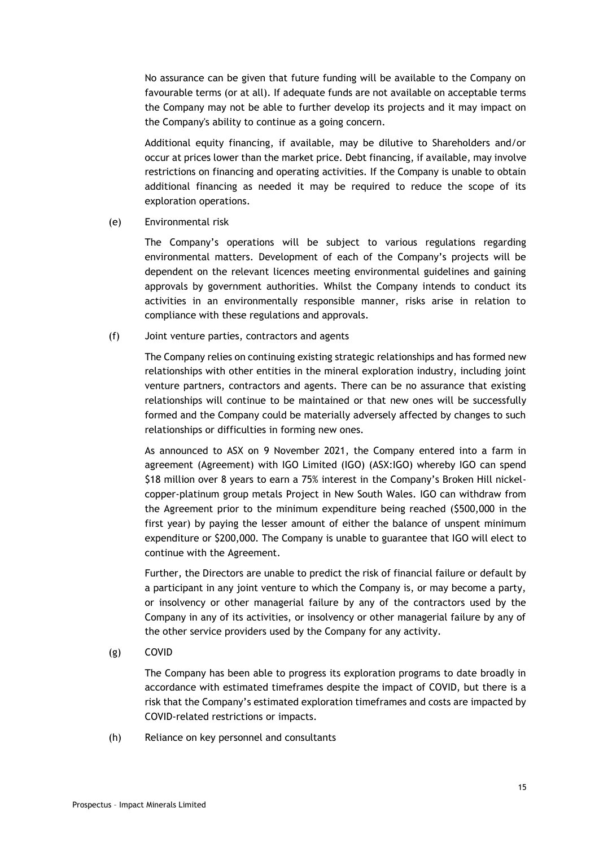No assurance can be given that future funding will be available to the Company on favourable terms (or at all). If adequate funds are not available on acceptable terms the Company may not be able to further develop its projects and it may impact on the Company's ability to continue as a going concern.

Additional equity financing, if available, may be dilutive to Shareholders and/or occur at prices lower than the market price. Debt financing, if available, may involve restrictions on financing and operating activities. If the Company is unable to obtain additional financing as needed it may be required to reduce the scope of its exploration operations.

(e) Environmental risk

The Company's operations will be subject to various regulations regarding environmental matters. Development of each of the Company's projects will be dependent on the relevant licences meeting environmental guidelines and gaining approvals by government authorities. Whilst the Company intends to conduct its activities in an environmentally responsible manner, risks arise in relation to compliance with these regulations and approvals.

(f) Joint venture parties, contractors and agents

The Company relies on continuing existing strategic relationships and has formed new relationships with other entities in the mineral exploration industry, including joint venture partners, contractors and agents. There can be no assurance that existing relationships will continue to be maintained or that new ones will be successfully formed and the Company could be materially adversely affected by changes to such relationships or difficulties in forming new ones.

As announced to ASX on 9 November 2021, the Company entered into a farm in agreement (Agreement) with IGO Limited (IGO) (ASX:IGO) whereby IGO can spend \$18 million over 8 years to earn a 75% interest in the Company's Broken Hill nickelcopper-platinum group metals Project in New South Wales. IGO can withdraw from the Agreement prior to the minimum expenditure being reached (\$500,000 in the first year) by paying the lesser amount of either the balance of unspent minimum expenditure or \$200,000. The Company is unable to guarantee that IGO will elect to continue with the Agreement.

Further, the Directors are unable to predict the risk of financial failure or default by a participant in any joint venture to which the Company is, or may become a party, or insolvency or other managerial failure by any of the contractors used by the Company in any of its activities, or insolvency or other managerial failure by any of the other service providers used by the Company for any activity.

(g) COVID

The Company has been able to progress its exploration programs to date broadly in accordance with estimated timeframes despite the impact of COVID, but there is a risk that the Company's estimated exploration timeframes and costs are impacted by COVID-related restrictions or impacts.

(h) Reliance on key personnel and consultants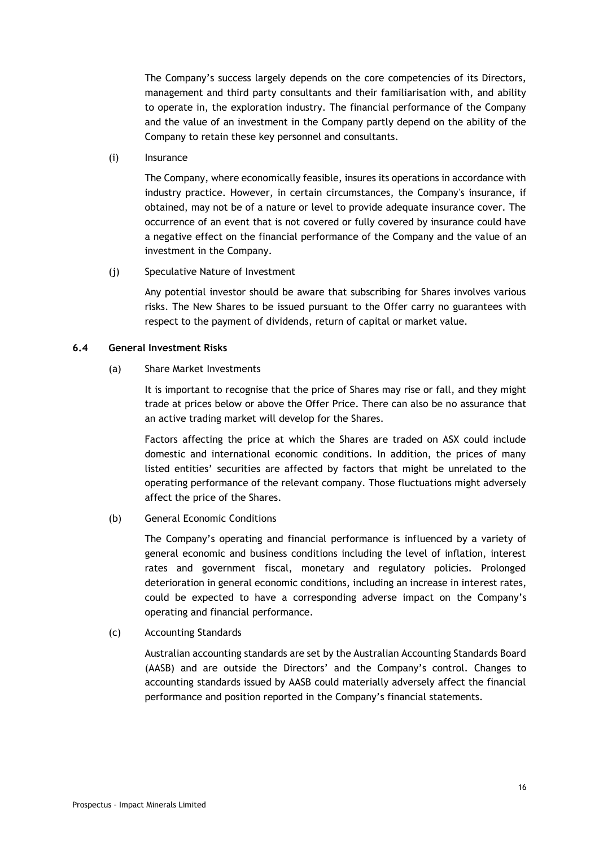The Company's success largely depends on the core competencies of its Directors, management and third party consultants and their familiarisation with, and ability to operate in, the exploration industry. The financial performance of the Company and the value of an investment in the Company partly depend on the ability of the Company to retain these key personnel and consultants.

(i) Insurance

The Company, where economically feasible, insures its operations in accordance with industry practice. However, in certain circumstances, the Company's insurance, if obtained, may not be of a nature or level to provide adequate insurance cover. The occurrence of an event that is not covered or fully covered by insurance could have a negative effect on the financial performance of the Company and the value of an investment in the Company.

(j) Speculative Nature of Investment

Any potential investor should be aware that subscribing for Shares involves various risks. The New Shares to be issued pursuant to the Offer carry no guarantees with respect to the payment of dividends, return of capital or market value.

#### **6.4 General Investment Risks**

#### (a) Share Market Investments

It is important to recognise that the price of Shares may rise or fall, and they might trade at prices below or above the Offer Price. There can also be no assurance that an active trading market will develop for the Shares.

Factors affecting the price at which the Shares are traded on ASX could include domestic and international economic conditions. In addition, the prices of many listed entities' securities are affected by factors that might be unrelated to the operating performance of the relevant company. Those fluctuations might adversely affect the price of the Shares.

(b) General Economic Conditions

The Company's operating and financial performance is influenced by a variety of general economic and business conditions including the level of inflation, interest rates and government fiscal, monetary and regulatory policies. Prolonged deterioration in general economic conditions, including an increase in interest rates, could be expected to have a corresponding adverse impact on the Company's operating and financial performance.

(c) Accounting Standards

Australian accounting standards are set by the Australian Accounting Standards Board (AASB) and are outside the Directors' and the Company's control. Changes to accounting standards issued by AASB could materially adversely affect the financial performance and position reported in the Company's financial statements.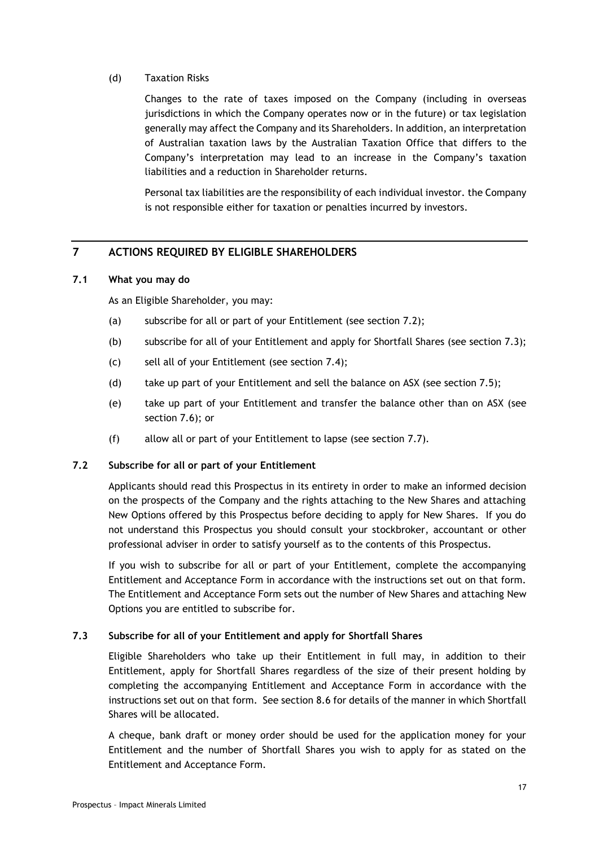## (d) Taxation Risks

Changes to the rate of taxes imposed on the Company (including in overseas jurisdictions in which the Company operates now or in the future) or tax legislation generally may affect the Company and its Shareholders. In addition, an interpretation of Australian taxation laws by the Australian Taxation Office that differs to the Company's interpretation may lead to an increase in the Company's taxation liabilities and a reduction in Shareholder returns.

Personal tax liabilities are the responsibility of each individual investor. the Company is not responsible either for taxation or penalties incurred by investors.

# <span id="page-16-0"></span>**7 ACTIONS REQUIRED BY ELIGIBLE SHAREHOLDERS**

## <span id="page-16-1"></span>**7.1 What you may do**

As an Eligible Shareholder, you may:

- (a) subscribe for all or part of your Entitlement (see section [7.2\)](#page-16-2);
- (b) subscribe for all of your Entitlement and apply for Shortfall Shares (see section [7.3\)](#page-16-3);
- (c) sell all of your Entitlement (see section [7.4\)](#page-17-0);
- (d) take up part of your Entitlement and sell the balance on ASX (see section [7.5\)](#page-17-1);
- (e) take up part of your Entitlement and transfer the balance other than on ASX (see section [7.6\)](#page-17-2); or
- (f) allow all or part of your Entitlement to lapse (see section [7.7\)](#page-17-3).

## <span id="page-16-2"></span>**7.2 Subscribe for all or part of your Entitlement**

Applicants should read this Prospectus in its entirety in order to make an informed decision on the prospects of the Company and the rights attaching to the New Shares and attaching New Options offered by this Prospectus before deciding to apply for New Shares. If you do not understand this Prospectus you should consult your stockbroker, accountant or other professional adviser in order to satisfy yourself as to the contents of this Prospectus.

If you wish to subscribe for all or part of your Entitlement, complete the accompanying Entitlement and Acceptance Form in accordance with the instructions set out on that form. The Entitlement and Acceptance Form sets out the number of New Shares and attaching New Options you are entitled to subscribe for.

# <span id="page-16-3"></span>**7.3 Subscribe for all of your Entitlement and apply for Shortfall Shares**

Eligible Shareholders who take up their Entitlement in full may, in addition to their Entitlement, apply for Shortfall Shares regardless of the size of their present holding by completing the accompanying Entitlement and Acceptance Form in accordance with the instructions set out on that form. See section [8.6](#page-23-0) for details of the manner in which Shortfall Shares will be allocated.

A cheque, bank draft or money order should be used for the application money for your Entitlement and the number of Shortfall Shares you wish to apply for as stated on the Entitlement and Acceptance Form.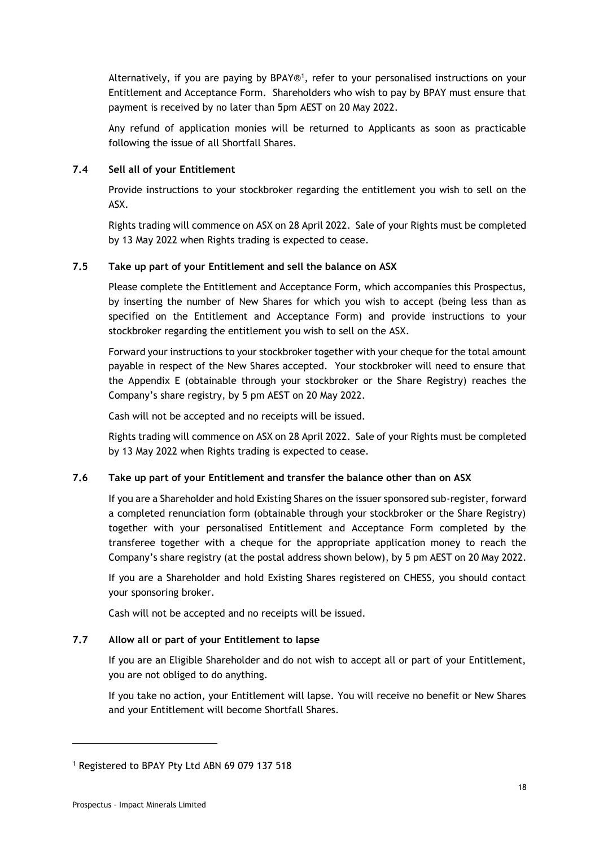Alternatively, if you are paying by BPAY®<sup>1</sup>, refer to your personalised instructions on your Entitlement and Acceptance Form. Shareholders who wish to pay by BPAY must ensure that payment is received by no later than 5pm AEST on 20 May 2022.

Any refund of application monies will be returned to Applicants as soon as practicable following the issue of all Shortfall Shares.

## <span id="page-17-0"></span>**7.4 Sell all of your Entitlement**

Provide instructions to your stockbroker regarding the entitlement you wish to sell on the ASX.

Rights trading will commence on ASX on 28 April 2022. Sale of your Rights must be completed by 13 May 2022 when Rights trading is expected to cease.

## <span id="page-17-1"></span>**7.5 Take up part of your Entitlement and sell the balance on ASX**

Please complete the Entitlement and Acceptance Form, which accompanies this Prospectus, by inserting the number of New Shares for which you wish to accept (being less than as specified on the Entitlement and Acceptance Form) and provide instructions to your stockbroker regarding the entitlement you wish to sell on the ASX.

Forward your instructions to your stockbroker together with your cheque for the total amount payable in respect of the New Shares accepted. Your stockbroker will need to ensure that the Appendix E (obtainable through your stockbroker or the Share Registry) reaches the Company's share registry, by 5 pm AEST on 20 May 2022.

Cash will not be accepted and no receipts will be issued.

Rights trading will commence on ASX on 28 April 2022. Sale of your Rights must be completed by 13 May 2022 when Rights trading is expected to cease.

## <span id="page-17-2"></span>**7.6 Take up part of your Entitlement and transfer the balance other than on ASX**

If you are a Shareholder and hold Existing Shares on the issuer sponsored sub-register, forward a completed renunciation form (obtainable through your stockbroker or the Share Registry) together with your personalised Entitlement and Acceptance Form completed by the transferee together with a cheque for the appropriate application money to reach the Company's share registry (at the postal address shown below), by 5 pm AEST on 20 May 2022.

If you are a Shareholder and hold Existing Shares registered on CHESS, you should contact your sponsoring broker.

Cash will not be accepted and no receipts will be issued.

## <span id="page-17-3"></span>**7.7 Allow all or part of your Entitlement to lapse**

If you are an Eligible Shareholder and do not wish to accept all or part of your Entitlement, you are not obliged to do anything.

If you take no action, your Entitlement will lapse. You will receive no benefit or New Shares and your Entitlement will become Shortfall Shares.

<sup>1</sup> Registered to BPAY Pty Ltd ABN 69 079 137 518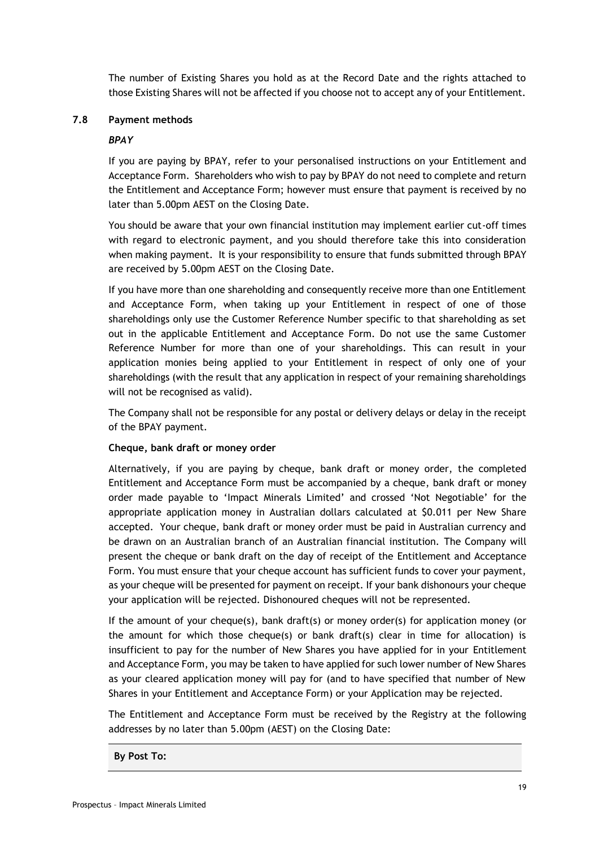The number of Existing Shares you hold as at the Record Date and the rights attached to those Existing Shares will not be affected if you choose not to accept any of your Entitlement.

#### <span id="page-18-0"></span>**7.8 Payment methods**

#### *BPAY*

If you are paying by BPAY, refer to your personalised instructions on your Entitlement and Acceptance Form. Shareholders who wish to pay by BPAY do not need to complete and return the Entitlement and Acceptance Form; however must ensure that payment is received by no later than 5.00pm AEST on the Closing Date.

You should be aware that your own financial institution may implement earlier cut-off times with regard to electronic payment, and you should therefore take this into consideration when making payment. It is your responsibility to ensure that funds submitted through BPAY are received by 5.00pm AEST on the Closing Date.

If you have more than one shareholding and consequently receive more than one Entitlement and Acceptance Form, when taking up your Entitlement in respect of one of those shareholdings only use the Customer Reference Number specific to that shareholding as set out in the applicable Entitlement and Acceptance Form. Do not use the same Customer Reference Number for more than one of your shareholdings. This can result in your application monies being applied to your Entitlement in respect of only one of your shareholdings (with the result that any application in respect of your remaining shareholdings will not be recognised as valid).

The Company shall not be responsible for any postal or delivery delays or delay in the receipt of the BPAY payment.

## **Cheque, bank draft or money order**

Alternatively, if you are paying by cheque, bank draft or money order, the completed Entitlement and Acceptance Form must be accompanied by a cheque, bank draft or money order made payable to 'Impact Minerals Limited' and crossed 'Not Negotiable' for the appropriate application money in Australian dollars calculated at \$0.011 per New Share accepted. Your cheque, bank draft or money order must be paid in Australian currency and be drawn on an Australian branch of an Australian financial institution. The Company will present the cheque or bank draft on the day of receipt of the Entitlement and Acceptance Form. You must ensure that your cheque account has sufficient funds to cover your payment, as your cheque will be presented for payment on receipt. If your bank dishonours your cheque your application will be rejected. Dishonoured cheques will not be represented.

If the amount of your cheque(s), bank draft(s) or money order(s) for application money (or the amount for which those cheque(s) or bank draft(s) clear in time for allocation) is insufficient to pay for the number of New Shares you have applied for in your Entitlement and Acceptance Form, you may be taken to have applied for such lower number of New Shares as your cleared application money will pay for (and to have specified that number of New Shares in your Entitlement and Acceptance Form) or your Application may be rejected.

The Entitlement and Acceptance Form must be received by the Registry at the following addresses by no later than 5.00pm (AEST) on the Closing Date:

**By Post To:**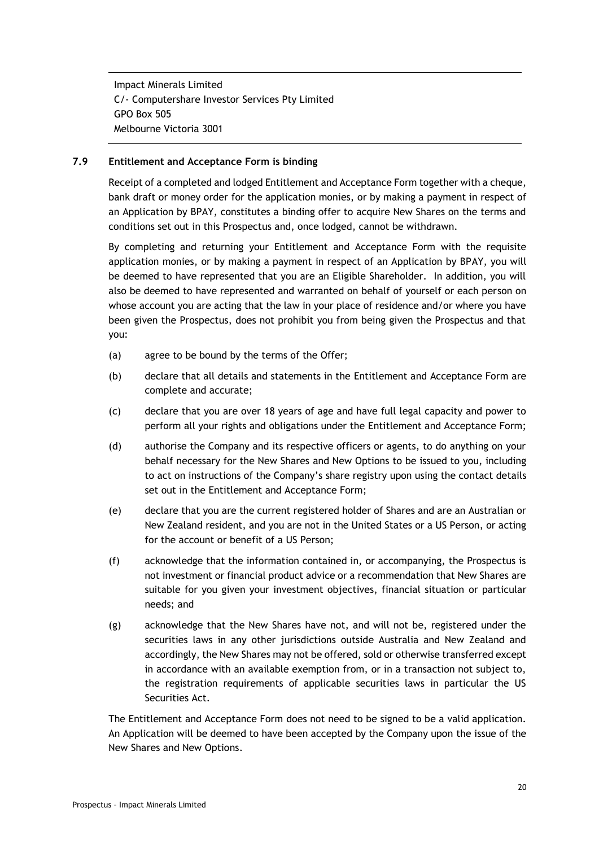Impact Minerals Limited C/- Computershare Investor Services Pty Limited GPO Box 505 Melbourne Victoria 3001

## **7.9 Entitlement and Acceptance Form is binding**

Receipt of a completed and lodged Entitlement and Acceptance Form together with a cheque, bank draft or money order for the application monies, or by making a payment in respect of an Application by BPAY, constitutes a binding offer to acquire New Shares on the terms and conditions set out in this Prospectus and, once lodged, cannot be withdrawn.

By completing and returning your Entitlement and Acceptance Form with the requisite application monies, or by making a payment in respect of an Application by BPAY, you will be deemed to have represented that you are an Eligible Shareholder. In addition, you will also be deemed to have represented and warranted on behalf of yourself or each person on whose account you are acting that the law in your place of residence and/or where you have been given the Prospectus, does not prohibit you from being given the Prospectus and that you:

- (a) agree to be bound by the terms of the Offer;
- (b) declare that all details and statements in the Entitlement and Acceptance Form are complete and accurate;
- (c) declare that you are over 18 years of age and have full legal capacity and power to perform all your rights and obligations under the Entitlement and Acceptance Form;
- (d) authorise the Company and its respective officers or agents, to do anything on your behalf necessary for the New Shares and New Options to be issued to you, including to act on instructions of the Company's share registry upon using the contact details set out in the Entitlement and Acceptance Form;
- (e) declare that you are the current registered holder of Shares and are an Australian or New Zealand resident, and you are not in the United States or a US Person, or acting for the account or benefit of a US Person;
- (f) acknowledge that the information contained in, or accompanying, the Prospectus is not investment or financial product advice or a recommendation that New Shares are suitable for you given your investment objectives, financial situation or particular needs; and
- (g) acknowledge that the New Shares have not, and will not be, registered under the securities laws in any other jurisdictions outside Australia and New Zealand and accordingly, the New Shares may not be offered, sold or otherwise transferred except in accordance with an available exemption from, or in a transaction not subject to, the registration requirements of applicable securities laws in particular the US Securities Act.

The Entitlement and Acceptance Form does not need to be signed to be a valid application. An Application will be deemed to have been accepted by the Company upon the issue of the New Shares and New Options.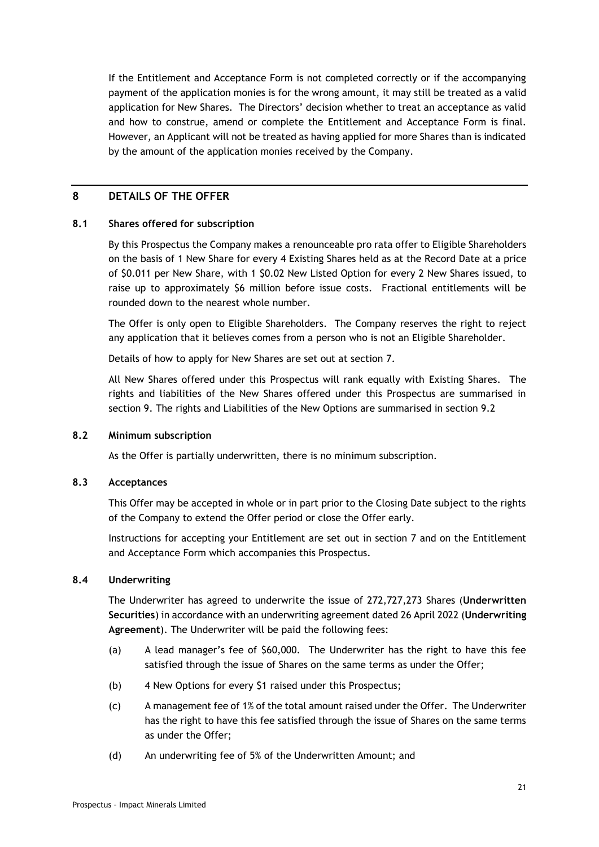If the Entitlement and Acceptance Form is not completed correctly or if the accompanying payment of the application monies is for the wrong amount, it may still be treated as a valid application for New Shares. The Directors' decision whether to treat an acceptance as valid and how to construe, amend or complete the Entitlement and Acceptance Form is final. However, an Applicant will not be treated as having applied for more Shares than is indicated by the amount of the application monies received by the Company.

# <span id="page-20-0"></span>**8 DETAILS OF THE OFFER**

## **8.1 Shares offered for subscription**

By this Prospectus the Company makes a renounceable pro rata offer to Eligible Shareholders on the basis of 1 New Share for every 4 Existing Shares held as at the Record Date at a price of \$0.011 per New Share, with 1 \$0.02 New Listed Option for every 2 New Shares issued, to raise up to approximately \$6 million before issue costs. Fractional entitlements will be rounded down to the nearest whole number.

The Offer is only open to Eligible Shareholders. The Company reserves the right to reject any application that it believes comes from a person who is not an Eligible Shareholder.

Details of how to apply for New Shares are set out at section [7.](#page-16-0)

All New Shares offered under this Prospectus will rank equally with Existing Shares. The rights and liabilities of the New Shares offered under this Prospectus are summarised in section [9.](#page-27-0) The rights and Liabilities of the New Options are summarised in section 9.2

## **8.2 Minimum subscription**

As the Offer is partially underwritten, there is no minimum subscription.

## **8.3 Acceptances**

This Offer may be accepted in whole or in part prior to the Closing Date subject to the rights of the Company to extend the Offer period or close the Offer early.

Instructions for accepting your Entitlement are set out in section [7](#page-16-0) and on the Entitlement and Acceptance Form which accompanies this Prospectus.

## <span id="page-20-1"></span>**8.4 Underwriting**

The Underwriter has agreed to underwrite the issue of 272,727,273 Shares (**Underwritten Securities**) in accordance with an underwriting agreement dated 26 April 2022 (**Underwriting Agreement**). The Underwriter will be paid the following fees:

- (a) A lead manager's fee of \$60,000. The Underwriter has the right to have this fee satisfied through the issue of Shares on the same terms as under the Offer;
- (b) 4 New Options for every \$1 raised under this Prospectus;
- (c) A management fee of 1% of the total amount raised under the Offer. The Underwriter has the right to have this fee satisfied through the issue of Shares on the same terms as under the Offer;
- (d) An underwriting fee of 5% of the Underwritten Amount; and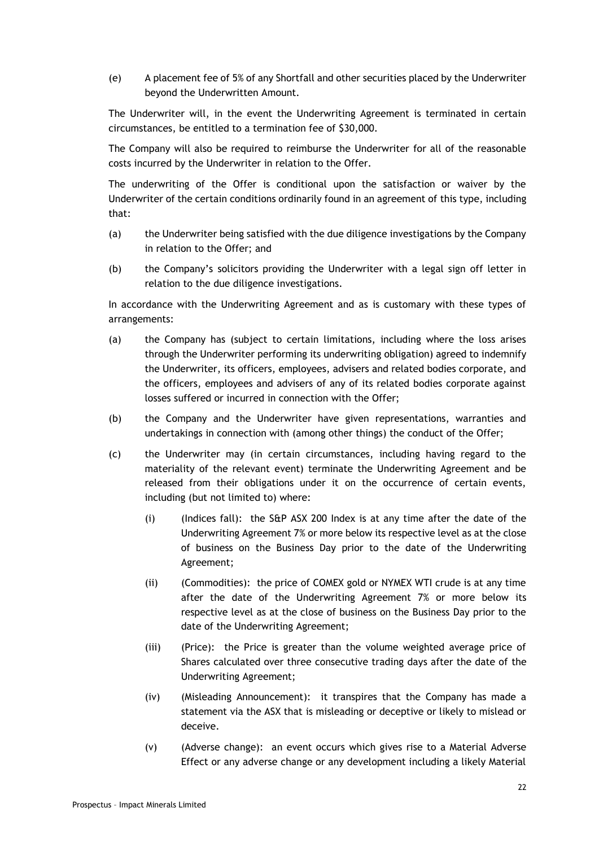(e) A placement fee of 5% of any Shortfall and other securities placed by the Underwriter beyond the Underwritten Amount.

The Underwriter will, in the event the Underwriting Agreement is terminated in certain circumstances, be entitled to a termination fee of \$30,000.

The Company will also be required to reimburse the Underwriter for all of the reasonable costs incurred by the Underwriter in relation to the Offer.

The underwriting of the Offer is conditional upon the satisfaction or waiver by the Underwriter of the certain conditions ordinarily found in an agreement of this type, including that:

- (a) the Underwriter being satisfied with the due diligence investigations by the Company in relation to the Offer; and
- (b) the Company's solicitors providing the Underwriter with a legal sign off letter in relation to the due diligence investigations.

In accordance with the Underwriting Agreement and as is customary with these types of arrangements:

- (a) the Company has (subject to certain limitations, including where the loss arises through the Underwriter performing its underwriting obligation) agreed to indemnify the Underwriter, its officers, employees, advisers and related bodies corporate, and the officers, employees and advisers of any of its related bodies corporate against losses suffered or incurred in connection with the Offer;
- (b) the Company and the Underwriter have given representations, warranties and undertakings in connection with (among other things) the conduct of the Offer;
- (c) the Underwriter may (in certain circumstances, including having regard to the materiality of the relevant event) terminate the Underwriting Agreement and be released from their obligations under it on the occurrence of certain events, including (but not limited to) where:
	- (i) (Indices fall): the S&P ASX 200 Index is at any time after the date of the Underwriting Agreement 7% or more below its respective level as at the close of business on the Business Day prior to the date of the Underwriting Agreement;
	- (ii) (Commodities): the price of COMEX gold or NYMEX WTI crude is at any time after the date of the Underwriting Agreement 7% or more below its respective level as at the close of business on the Business Day prior to the date of the Underwriting Agreement;
	- (iii) (Price): the Price is greater than the volume weighted average price of Shares calculated over three consecutive trading days after the date of the Underwriting Agreement;
	- (iv) (Misleading Announcement): it transpires that the Company has made a statement via the ASX that is misleading or deceptive or likely to mislead or deceive.
	- (v) (Adverse change): an event occurs which gives rise to a Material Adverse Effect or any adverse change or any development including a likely Material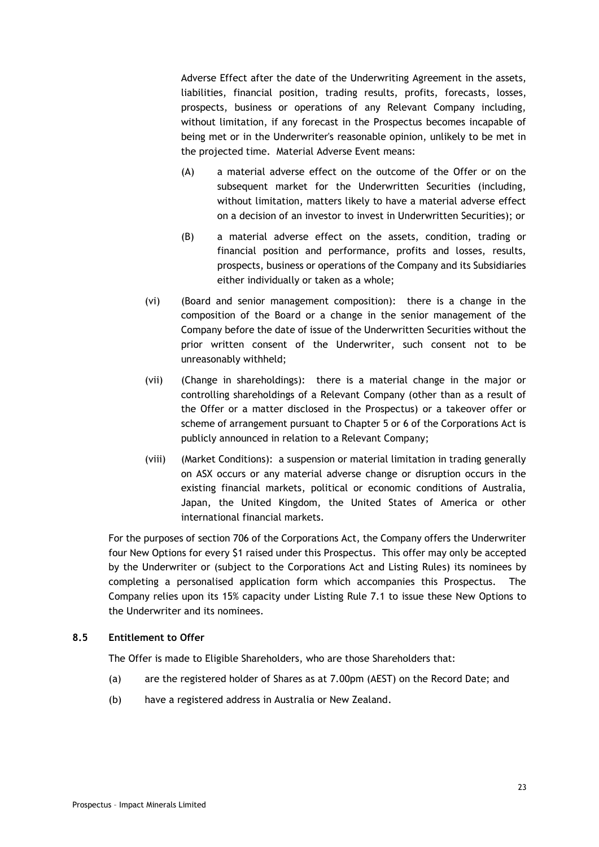Adverse Effect after the date of the Underwriting Agreement in the assets, liabilities, financial position, trading results, profits, forecasts, losses, prospects, business or operations of any Relevant Company including, without limitation, if any forecast in the Prospectus becomes incapable of being met or in the Underwriter's reasonable opinion, unlikely to be met in the projected time. Material Adverse Event means:

- (A) a material adverse effect on the outcome of the Offer or on the subsequent market for the Underwritten Securities (including, without limitation, matters likely to have a material adverse effect on a decision of an investor to invest in Underwritten Securities); or
- (B) a material adverse effect on the assets, condition, trading or financial position and performance, profits and losses, results, prospects, business or operations of the Company and its Subsidiaries either individually or taken as a whole;
- (vi) (Board and senior management composition): there is a change in the composition of the Board or a change in the senior management of the Company before the date of issue of the Underwritten Securities without the prior written consent of the Underwriter, such consent not to be unreasonably withheld;
- (vii) (Change in shareholdings): there is a material change in the major or controlling shareholdings of a Relevant Company (other than as a result of the Offer or a matter disclosed in the Prospectus) or a takeover offer or scheme of arrangement pursuant to Chapter 5 or 6 of the Corporations Act is publicly announced in relation to a Relevant Company;
- (viii) (Market Conditions): a suspension or material limitation in trading generally on ASX occurs or any material adverse change or disruption occurs in the existing financial markets, political or economic conditions of Australia, Japan, the United Kingdom, the United States of America or other international financial markets.

For the purposes of section 706 of the Corporations Act, the Company offers the Underwriter four New Options for every \$1 raised under this Prospectus. This offer may only be accepted by the Underwriter or (subject to the Corporations Act and Listing Rules) its nominees by completing a personalised application form which accompanies this Prospectus. The Company relies upon its 15% capacity under Listing Rule 7.1 to issue these New Options to the Underwriter and its nominees.

## **8.5 Entitlement to Offer**

The Offer is made to Eligible Shareholders, who are those Shareholders that:

- (a) are the registered holder of Shares as at 7.00pm (AEST) on the Record Date; and
- (b) have a registered address in Australia or New Zealand.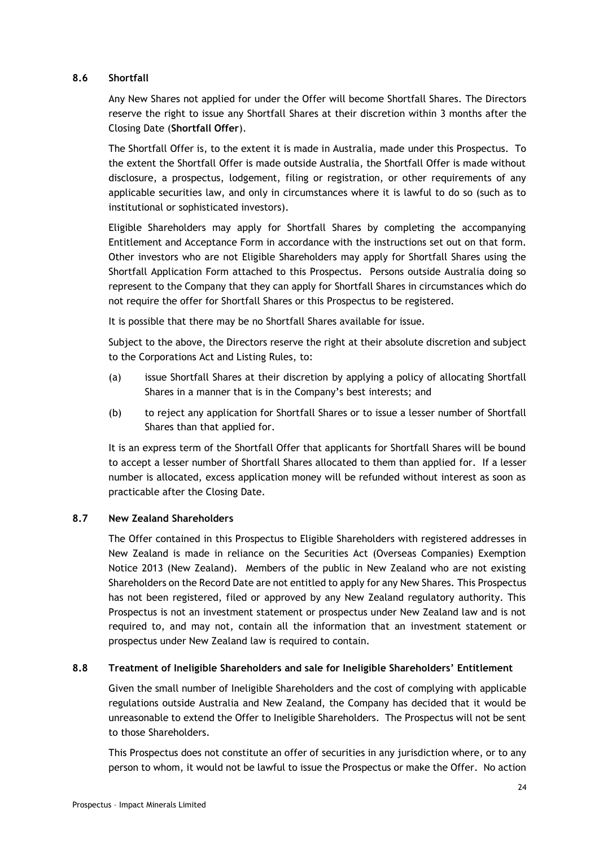## <span id="page-23-0"></span>**8.6 Shortfall**

Any New Shares not applied for under the Offer will become Shortfall Shares. The Directors reserve the right to issue any Shortfall Shares at their discretion within 3 months after the Closing Date (**Shortfall Offer**).

The Shortfall Offer is, to the extent it is made in Australia, made under this Prospectus. To the extent the Shortfall Offer is made outside Australia, the Shortfall Offer is made without disclosure, a prospectus, lodgement, filing or registration, or other requirements of any applicable securities law, and only in circumstances where it is lawful to do so (such as to institutional or sophisticated investors).

Eligible Shareholders may apply for Shortfall Shares by completing the accompanying Entitlement and Acceptance Form in accordance with the instructions set out on that form. Other investors who are not Eligible Shareholders may apply for Shortfall Shares using the Shortfall Application Form attached to this Prospectus. Persons outside Australia doing so represent to the Company that they can apply for Shortfall Shares in circumstances which do not require the offer for Shortfall Shares or this Prospectus to be registered.

It is possible that there may be no Shortfall Shares available for issue.

Subject to the above, the Directors reserve the right at their absolute discretion and subject to the Corporations Act and Listing Rules, to:

- (a) issue Shortfall Shares at their discretion by applying a policy of allocating Shortfall Shares in a manner that is in the Company's best interests; and
- (b) to reject any application for Shortfall Shares or to issue a lesser number of Shortfall Shares than that applied for.

It is an express term of the Shortfall Offer that applicants for Shortfall Shares will be bound to accept a lesser number of Shortfall Shares allocated to them than applied for. If a lesser number is allocated, excess application money will be refunded without interest as soon as practicable after the Closing Date.

## **8.7 New Zealand Shareholders**

The Offer contained in this Prospectus to Eligible Shareholders with registered addresses in New Zealand is made in reliance on the Securities Act (Overseas Companies) Exemption Notice 2013 (New Zealand). Members of the public in New Zealand who are not existing Shareholders on the Record Date are not entitled to apply for any New Shares. This Prospectus has not been registered, filed or approved by any New Zealand regulatory authority. This Prospectus is not an investment statement or prospectus under New Zealand law and is not required to, and may not, contain all the information that an investment statement or prospectus under New Zealand law is required to contain.

## <span id="page-23-1"></span>**8.8 Treatment of Ineligible Shareholders and sale for Ineligible Shareholders' Entitlement**

Given the small number of Ineligible Shareholders and the cost of complying with applicable regulations outside Australia and New Zealand, the Company has decided that it would be unreasonable to extend the Offer to Ineligible Shareholders. The Prospectus will not be sent to those Shareholders.

This Prospectus does not constitute an offer of securities in any jurisdiction where, or to any person to whom, it would not be lawful to issue the Prospectus or make the Offer. No action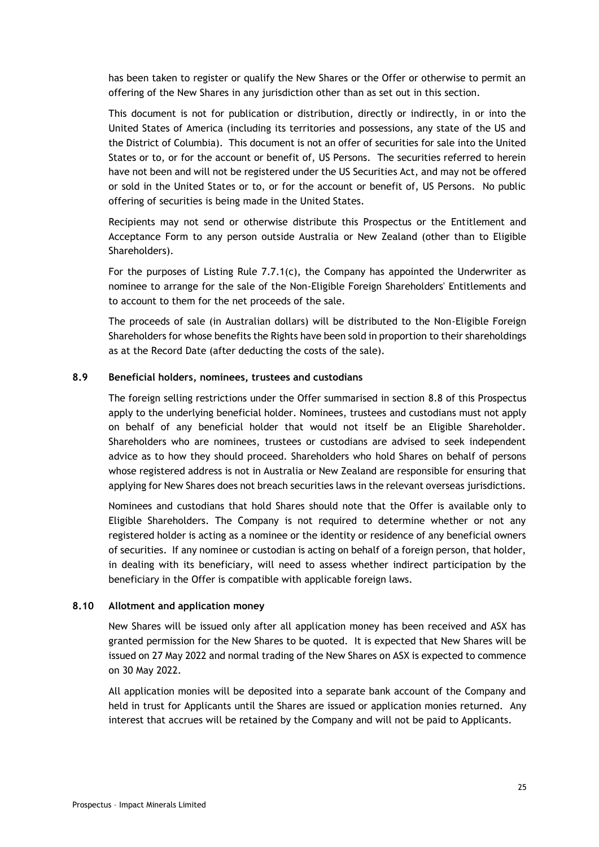has been taken to register or qualify the New Shares or the Offer or otherwise to permit an offering of the New Shares in any jurisdiction other than as set out in this section.

This document is not for publication or distribution, directly or indirectly, in or into the United States of America (including its territories and possessions, any state of the US and the District of Columbia). This document is not an offer of securities for sale into the United States or to, or for the account or benefit of, US Persons. The securities referred to herein have not been and will not be registered under the US Securities Act, and may not be offered or sold in the United States or to, or for the account or benefit of, US Persons. No public offering of securities is being made in the United States.

Recipients may not send or otherwise distribute this Prospectus or the Entitlement and Acceptance Form to any person outside Australia or New Zealand (other than to Eligible Shareholders).

For the purposes of Listing Rule 7.7.1(c), the Company has appointed the Underwriter as nominee to arrange for the sale of the Non-Eligible Foreign Shareholders' Entitlements and to account to them for the net proceeds of the sale.

The proceeds of sale (in Australian dollars) will be distributed to the Non-Eligible Foreign Shareholders for whose benefits the Rights have been sold in proportion to their shareholdings as at the Record Date (after deducting the costs of the sale).

#### **8.9 Beneficial holders, nominees, trustees and custodians**

The foreign selling restrictions under the Offer summarised in section [8.8](#page-23-1) of this Prospectus apply to the underlying beneficial holder. Nominees, trustees and custodians must not apply on behalf of any beneficial holder that would not itself be an Eligible Shareholder. Shareholders who are nominees, trustees or custodians are advised to seek independent advice as to how they should proceed. Shareholders who hold Shares on behalf of persons whose registered address is not in Australia or New Zealand are responsible for ensuring that applying for New Shares does not breach securities laws in the relevant overseas jurisdictions.

Nominees and custodians that hold Shares should note that the Offer is available only to Eligible Shareholders. The Company is not required to determine whether or not any registered holder is acting as a nominee or the identity or residence of any beneficial owners of securities. If any nominee or custodian is acting on behalf of a foreign person, that holder, in dealing with its beneficiary, will need to assess whether indirect participation by the beneficiary in the Offer is compatible with applicable foreign laws.

#### **8.10 Allotment and application money**

New Shares will be issued only after all application money has been received and ASX has granted permission for the New Shares to be quoted. It is expected that New Shares will be issued on 27 May 2022 and normal trading of the New Shares on ASX is expected to commence on 30 May 2022.

All application monies will be deposited into a separate bank account of the Company and held in trust for Applicants until the Shares are issued or application monies returned. Any interest that accrues will be retained by the Company and will not be paid to Applicants.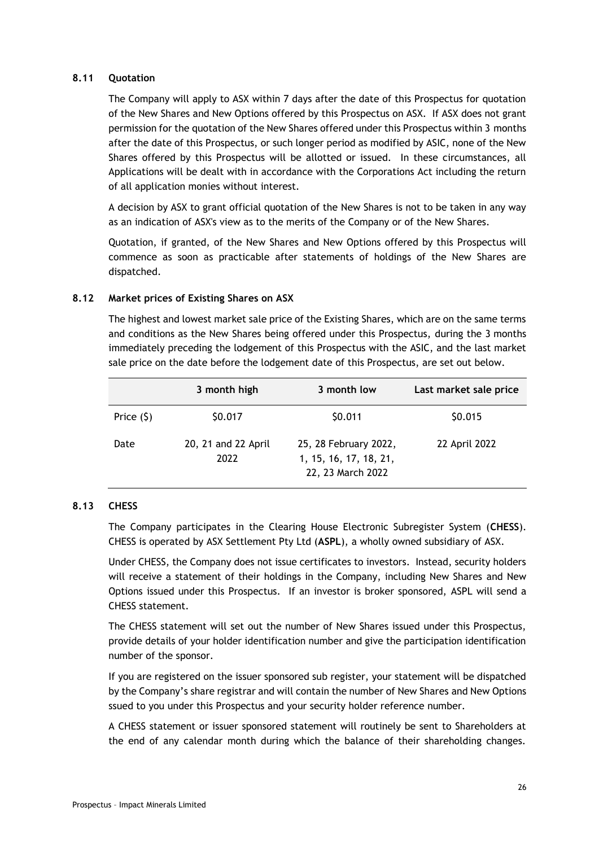## **8.11 Quotation**

The Company will apply to ASX within 7 days after the date of this Prospectus for quotation of the New Shares and New Options offered by this Prospectus on ASX. If ASX does not grant permission for the quotation of the New Shares offered under this Prospectus within 3 months after the date of this Prospectus, or such longer period as modified by ASIC, none of the New Shares offered by this Prospectus will be allotted or issued. In these circumstances, all Applications will be dealt with in accordance with the Corporations Act including the return of all application monies without interest.

A decision by ASX to grant official quotation of the New Shares is not to be taken in any way as an indication of ASX's view as to the merits of the Company or of the New Shares.

Quotation, if granted, of the New Shares and New Options offered by this Prospectus will commence as soon as practicable after statements of holdings of the New Shares are dispatched.

#### **8.12 Market prices of Existing Shares on ASX**

The highest and lowest market sale price of the Existing Shares, which are on the same terms and conditions as the New Shares being offered under this Prospectus, during the 3 months immediately preceding the lodgement of this Prospectus with the ASIC, and the last market sale price on the date before the lodgement date of this Prospectus, are set out below.

|             | 3 month high                | 3 month low                                                          | Last market sale price |
|-------------|-----------------------------|----------------------------------------------------------------------|------------------------|
| Price $(5)$ | \$0.017                     | \$0.011                                                              | \$0.015                |
| Date        | 20, 21 and 22 April<br>2022 | 25, 28 February 2022,<br>1, 15, 16, 17, 18, 21,<br>22, 23 March 2022 | 22 April 2022          |

## **8.13 CHESS**

The Company participates in the Clearing House Electronic Subregister System (**CHESS**). CHESS is operated by ASX Settlement Pty Ltd (**ASPL**), a wholly owned subsidiary of ASX.

Under CHESS, the Company does not issue certificates to investors. Instead, security holders will receive a statement of their holdings in the Company, including New Shares and New Options issued under this Prospectus. If an investor is broker sponsored, ASPL will send a CHESS statement.

The CHESS statement will set out the number of New Shares issued under this Prospectus, provide details of your holder identification number and give the participation identification number of the sponsor.

If you are registered on the issuer sponsored sub register, your statement will be dispatched by the Company's share registrar and will contain the number of New Shares and New Options ssued to you under this Prospectus and your security holder reference number.

A CHESS statement or issuer sponsored statement will routinely be sent to Shareholders at the end of any calendar month during which the balance of their shareholding changes.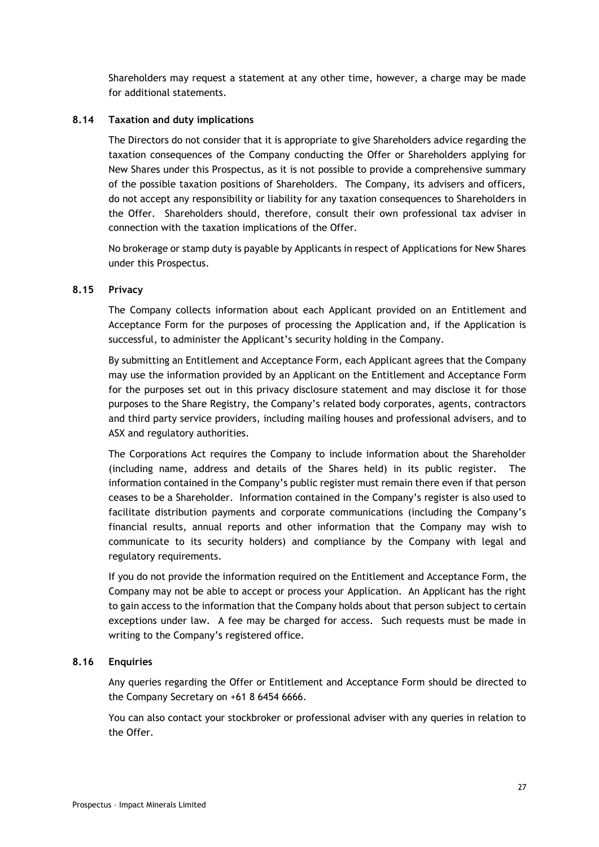Shareholders may request a statement at any other time, however, a charge may be made for additional statements.

#### **8.14 Taxation and duty implications**

The Directors do not consider that it is appropriate to give Shareholders advice regarding the taxation consequences of the Company conducting the Offer or Shareholders applying for New Shares under this Prospectus, as it is not possible to provide a comprehensive summary of the possible taxation positions of Shareholders. The Company, its advisers and officers, do not accept any responsibility or liability for any taxation consequences to Shareholders in the Offer. Shareholders should, therefore, consult their own professional tax adviser in connection with the taxation implications of the Offer.

No brokerage or stamp duty is payable by Applicants in respect of Applications for New Shares under this Prospectus.

#### <span id="page-26-0"></span>**8.15 Privacy**

The Company collects information about each Applicant provided on an Entitlement and Acceptance Form for the purposes of processing the Application and, if the Application is successful, to administer the Applicant's security holding in the Company.

By submitting an Entitlement and Acceptance Form, each Applicant agrees that the Company may use the information provided by an Applicant on the Entitlement and Acceptance Form for the purposes set out in this privacy disclosure statement and may disclose it for those purposes to the Share Registry, the Company's related body corporates, agents, contractors and third party service providers, including mailing houses and professional advisers, and to ASX and regulatory authorities.

The Corporations Act requires the Company to include information about the Shareholder (including name, address and details of the Shares held) in its public register. The information contained in the Company's public register must remain there even if that person ceases to be a Shareholder. Information contained in the Company's register is also used to facilitate distribution payments and corporate communications (including the Company's financial results, annual reports and other information that the Company may wish to communicate to its security holders) and compliance by the Company with legal and regulatory requirements.

If you do not provide the information required on the Entitlement and Acceptance Form, the Company may not be able to accept or process your Application. An Applicant has the right to gain access to the information that the Company holds about that person subject to certain exceptions under law. A fee may be charged for access. Such requests must be made in writing to the Company's registered office.

#### **8.16 Enquiries**

Any queries regarding the Offer or Entitlement and Acceptance Form should be directed to the Company Secretary on +61 8 6454 6666.

You can also contact your stockbroker or professional adviser with any queries in relation to the Offer.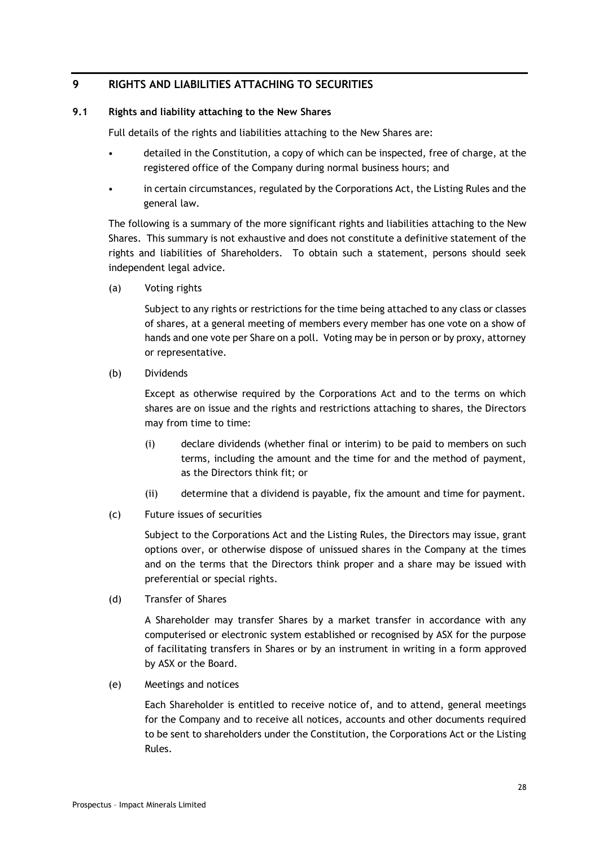# <span id="page-27-0"></span>**9 RIGHTS AND LIABILITIES ATTACHING TO SECURITIES**

## **9.1 Rights and liability attaching to the New Shares**

Full details of the rights and liabilities attaching to the New Shares are:

- detailed in the Constitution, a copy of which can be inspected, free of charge, at the registered office of the Company during normal business hours; and
- in certain circumstances, regulated by the Corporations Act, the Listing Rules and the general law.

The following is a summary of the more significant rights and liabilities attaching to the New Shares. This summary is not exhaustive and does not constitute a definitive statement of the rights and liabilities of Shareholders. To obtain such a statement, persons should seek independent legal advice.

(a) Voting rights

Subject to any rights or restrictions for the time being attached to any class or classes of shares, at a general meeting of members every member has one vote on a show of hands and one vote per Share on a poll. Voting may be in person or by proxy, attorney or representative.

(b) Dividends

Except as otherwise required by the Corporations Act and to the terms on which shares are on issue and the rights and restrictions attaching to shares, the Directors may from time to time:

- (i) declare dividends (whether final or interim) to be paid to members on such terms, including the amount and the time for and the method of payment, as the Directors think fit; or
- (ii) determine that a dividend is payable, fix the amount and time for payment.
- (c) Future issues of securities

Subject to the Corporations Act and the Listing Rules, the Directors may issue, grant options over, or otherwise dispose of unissued shares in the Company at the times and on the terms that the Directors think proper and a share may be issued with preferential or special rights.

(d) Transfer of Shares

A Shareholder may transfer Shares by a market transfer in accordance with any computerised or electronic system established or recognised by ASX for the purpose of facilitating transfers in Shares or by an instrument in writing in a form approved by ASX or the Board.

(e) Meetings and notices

Each Shareholder is entitled to receive notice of, and to attend, general meetings for the Company and to receive all notices, accounts and other documents required to be sent to shareholders under the Constitution, the Corporations Act or the Listing Rules.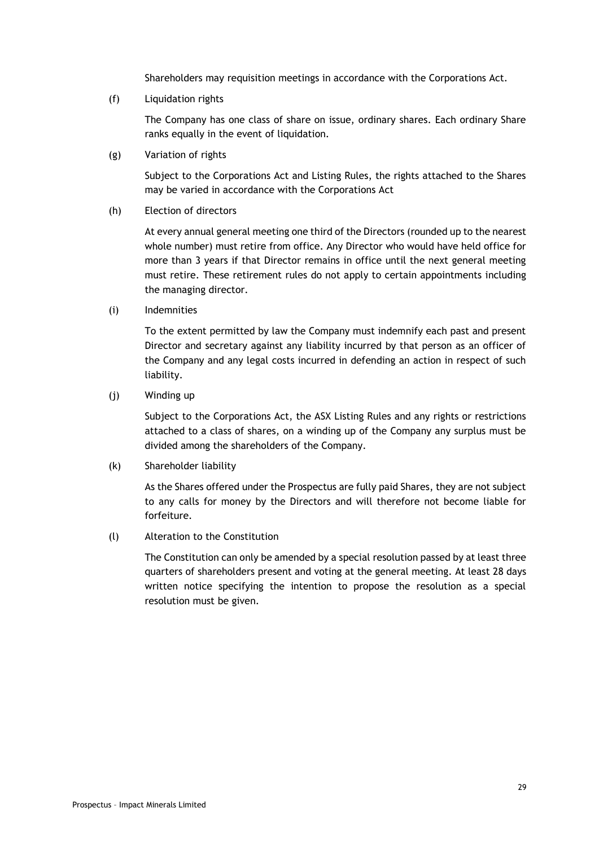Shareholders may requisition meetings in accordance with the Corporations Act.

(f) Liquidation rights

The Company has one class of share on issue, ordinary shares. Each ordinary Share ranks equally in the event of liquidation.

(g) Variation of rights

Subject to the Corporations Act and Listing Rules, the rights attached to the Shares may be varied in accordance with the Corporations Act

(h) Election of directors

At every annual general meeting one third of the Directors (rounded up to the nearest whole number) must retire from office. Any Director who would have held office for more than 3 years if that Director remains in office until the next general meeting must retire. These retirement rules do not apply to certain appointments including the managing director.

(i) Indemnities

To the extent permitted by law the Company must indemnify each past and present Director and secretary against any liability incurred by that person as an officer of the Company and any legal costs incurred in defending an action in respect of such liability.

(j) Winding up

Subject to the Corporations Act, the ASX Listing Rules and any rights or restrictions attached to a class of shares, on a winding up of the Company any surplus must be divided among the shareholders of the Company.

(k) Shareholder liability

As the Shares offered under the Prospectus are fully paid Shares, they are not subject to any calls for money by the Directors and will therefore not become liable for forfeiture.

# (l) Alteration to the Constitution

The Constitution can only be amended by a special resolution passed by at least three quarters of shareholders present and voting at the general meeting. At least 28 days written notice specifying the intention to propose the resolution as a special resolution must be given.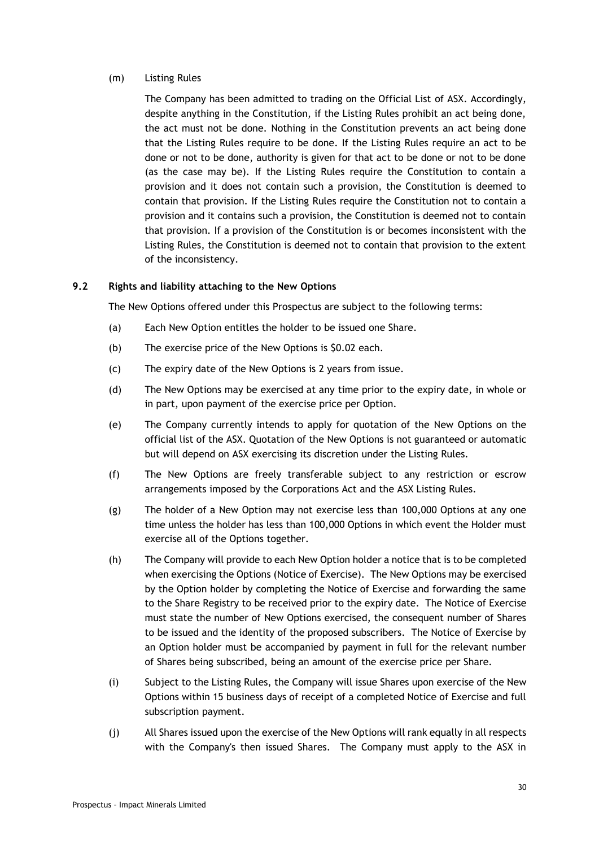## (m) Listing Rules

The Company has been admitted to trading on the Official List of ASX. Accordingly, despite anything in the Constitution, if the Listing Rules prohibit an act being done, the act must not be done. Nothing in the Constitution prevents an act being done that the Listing Rules require to be done. If the Listing Rules require an act to be done or not to be done, authority is given for that act to be done or not to be done (as the case may be). If the Listing Rules require the Constitution to contain a provision and it does not contain such a provision, the Constitution is deemed to contain that provision. If the Listing Rules require the Constitution not to contain a provision and it contains such a provision, the Constitution is deemed not to contain that provision. If a provision of the Constitution is or becomes inconsistent with the Listing Rules, the Constitution is deemed not to contain that provision to the extent of the inconsistency.

## **9.2 Rights and liability attaching to the New Options**

The New Options offered under this Prospectus are subject to the following terms:

- (a) Each New Option entitles the holder to be issued one Share.
- (b) The exercise price of the New Options is \$0.02 each.
- (c) The expiry date of the New Options is 2 years from issue.
- (d) The New Options may be exercised at any time prior to the expiry date, in whole or in part, upon payment of the exercise price per Option.
- (e) The Company currently intends to apply for quotation of the New Options on the official list of the ASX. Quotation of the New Options is not guaranteed or automatic but will depend on ASX exercising its discretion under the Listing Rules.
- (f) The New Options are freely transferable subject to any restriction or escrow arrangements imposed by the Corporations Act and the ASX Listing Rules.
- (g) The holder of a New Option may not exercise less than 100,000 Options at any one time unless the holder has less than 100,000 Options in which event the Holder must exercise all of the Options together.
- (h) The Company will provide to each New Option holder a notice that is to be completed when exercising the Options (Notice of Exercise). The New Options may be exercised by the Option holder by completing the Notice of Exercise and forwarding the same to the Share Registry to be received prior to the expiry date. The Notice of Exercise must state the number of New Options exercised, the consequent number of Shares to be issued and the identity of the proposed subscribers. The Notice of Exercise by an Option holder must be accompanied by payment in full for the relevant number of Shares being subscribed, being an amount of the exercise price per Share.
- (i) Subject to the Listing Rules, the Company will issue Shares upon exercise of the New Options within 15 business days of receipt of a completed Notice of Exercise and full subscription payment.
- (j) All Shares issued upon the exercise of the New Options will rank equally in all respects with the Company's then issued Shares. The Company must apply to the ASX in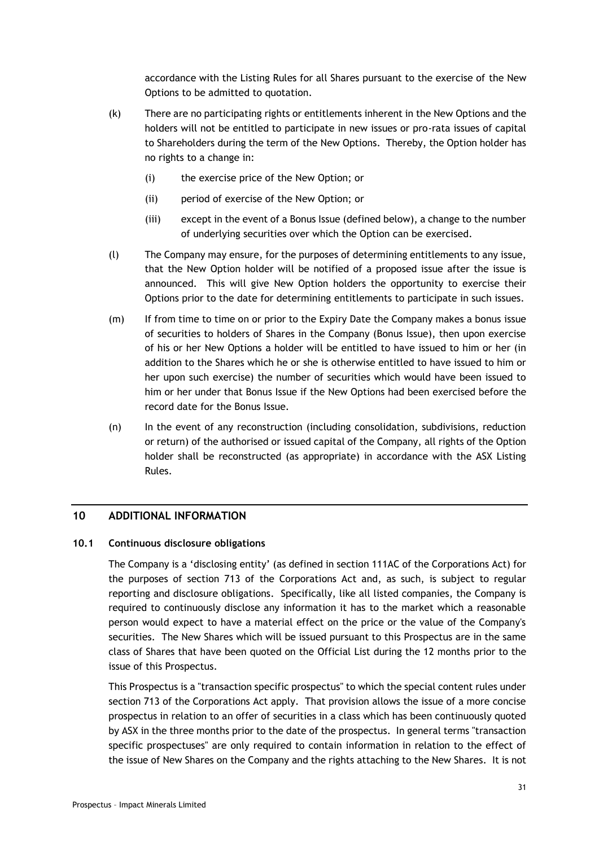accordance with the Listing Rules for all Shares pursuant to the exercise of the New Options to be admitted to quotation.

- (k) There are no participating rights or entitlements inherent in the New Options and the holders will not be entitled to participate in new issues or pro-rata issues of capital to Shareholders during the term of the New Options. Thereby, the Option holder has no rights to a change in:
	- (i) the exercise price of the New Option; or
	- (ii) period of exercise of the New Option; or
	- (iii) except in the event of a Bonus Issue (defined below), a change to the number of underlying securities over which the Option can be exercised.
- (l) The Company may ensure, for the purposes of determining entitlements to any issue, that the New Option holder will be notified of a proposed issue after the issue is announced. This will give New Option holders the opportunity to exercise their Options prior to the date for determining entitlements to participate in such issues.
- (m) If from time to time on or prior to the Expiry Date the Company makes a bonus issue of securities to holders of Shares in the Company (Bonus Issue), then upon exercise of his or her New Options a holder will be entitled to have issued to him or her (in addition to the Shares which he or she is otherwise entitled to have issued to him or her upon such exercise) the number of securities which would have been issued to him or her under that Bonus Issue if the New Options had been exercised before the record date for the Bonus Issue.
- (n) In the event of any reconstruction (including consolidation, subdivisions, reduction or return) of the authorised or issued capital of the Company, all rights of the Option holder shall be reconstructed (as appropriate) in accordance with the ASX Listing Rules.

## <span id="page-30-0"></span>**10 ADDITIONAL INFORMATION**

## **10.1 Continuous disclosure obligations**

The Company is a 'disclosing entity' (as defined in section 111AC of the Corporations Act) for the purposes of section 713 of the Corporations Act and, as such, is subject to regular reporting and disclosure obligations. Specifically, like all listed companies, the Company is required to continuously disclose any information it has to the market which a reasonable person would expect to have a material effect on the price or the value of the Company's securities. The New Shares which will be issued pursuant to this Prospectus are in the same class of Shares that have been quoted on the Official List during the 12 months prior to the issue of this Prospectus.

This Prospectus is a "transaction specific prospectus" to which the special content rules under section 713 of the Corporations Act apply. That provision allows the issue of a more concise prospectus in relation to an offer of securities in a class which has been continuously quoted by ASX in the three months prior to the date of the prospectus. In general terms "transaction specific prospectuses" are only required to contain information in relation to the effect of the issue of New Shares on the Company and the rights attaching to the New Shares. It is not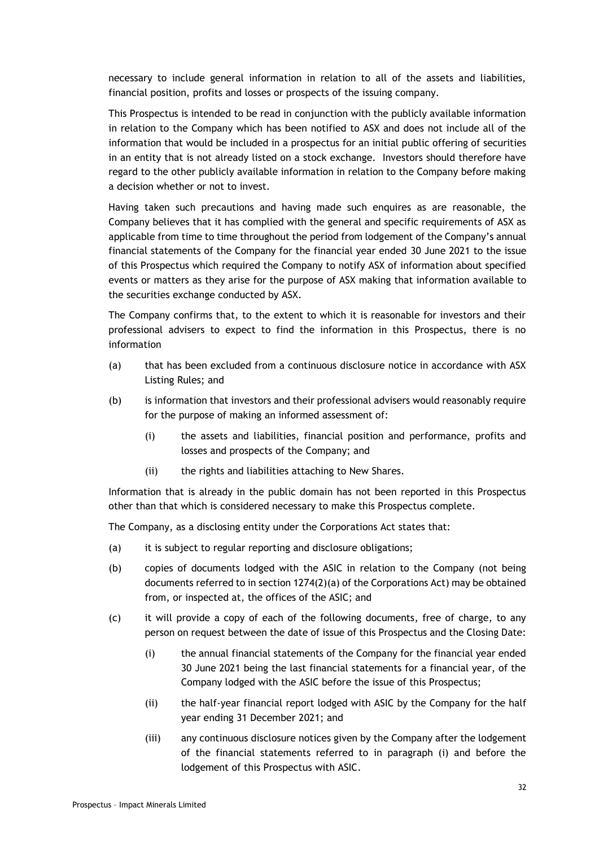necessary to include general information in relation to all of the assets and liabilities, financial position, profits and losses or prospects of the issuing company.

This Prospectus is intended to be read in conjunction with the publicly available information in relation to the Company which has been notified to ASX and does not include all of the information that would be included in a prospectus for an initial public offering of securities in an entity that is not already listed on a stock exchange. Investors should therefore have regard to the other publicly available information in relation to the Company before making a decision whether or not to invest.

Having taken such precautions and having made such enquires as are reasonable, the Company believes that it has complied with the general and specific requirements of ASX as applicable from time to time throughout the period from lodgement of the Company's annual financial statements of the Company for the financial year ended 30 June 2021 to the issue of this Prospectus which required the Company to notify ASX of information about specified events or matters as they arise for the purpose of ASX making that information available to the securities exchange conducted by ASX.

The Company confirms that, to the extent to which it is reasonable for investors and their professional advisers to expect to find the information in this Prospectus, there is no information

- (a) that has been excluded from a continuous disclosure notice in accordance with ASX Listing Rules; and
- (b) is information that investors and their professional advisers would reasonably require for the purpose of making an informed assessment of:
	- (i) the assets and liabilities, financial position and performance, profits and losses and prospects of the Company; and
	- (ii) the rights and liabilities attaching to New Shares.

Information that is already in the public domain has not been reported in this Prospectus other than that which is considered necessary to make this Prospectus complete.

The Company, as a disclosing entity under the Corporations Act states that:

- (a) it is subject to regular reporting and disclosure obligations;
- (b) copies of documents lodged with the ASIC in relation to the Company (not being documents referred to in section 1274(2)(a) of the Corporations Act) may be obtained from, or inspected at, the offices of the ASIC; and
- (c) it will provide a copy of each of the following documents, free of charge, to any person on request between the date of issue of this Prospectus and the Closing Date:
	- (i) the annual financial statements of the Company for the financial year ended 30 June 2021 being the last financial statements for a financial year, of the Company lodged with the ASIC before the issue of this Prospectus;
	- (ii) the half-year financial report lodged with ASIC by the Company for the half year ending 31 December 2021; and
	- (iii) any continuous disclosure notices given by the Company after the lodgement of the financial statements referred to in paragraph (i) and before the lodgement of this Prospectus with ASIC.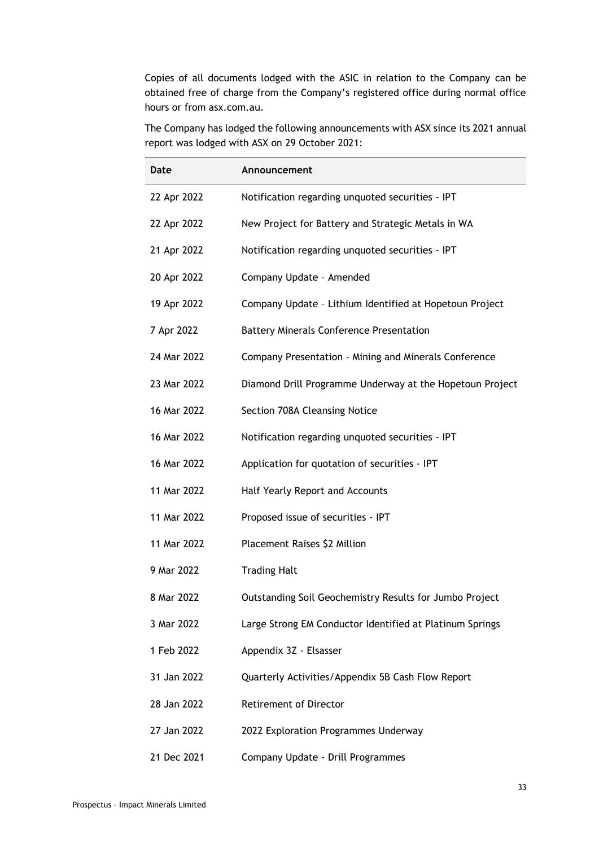Copies of all documents lodged with the ASIC in relation to the Company can be obtained free of charge from the Company's registered office during normal office hours or from asx.com.au.

The Company has lodged the following announcements with ASX since its 2021 annual report was lodged with ASX on 29 October 2021:

| Date        | Announcement                                             |
|-------------|----------------------------------------------------------|
| 22 Apr 2022 | Notification regarding unquoted securities - IPT         |
| 22 Apr 2022 | New Project for Battery and Strategic Metals in WA       |
| 21 Apr 2022 | Notification regarding unquoted securities - IPT         |
| 20 Apr 2022 | Company Update - Amended                                 |
| 19 Apr 2022 | Company Update - Lithium Identified at Hopetoun Project  |
| 7 Apr 2022  | <b>Battery Minerals Conference Presentation</b>          |
| 24 Mar 2022 | Company Presentation - Mining and Minerals Conference    |
| 23 Mar 2022 | Diamond Drill Programme Underway at the Hopetoun Project |
| 16 Mar 2022 | Section 708A Cleansing Notice                            |
| 16 Mar 2022 | Notification regarding unquoted securities - IPT         |
| 16 Mar 2022 | Application for quotation of securities - IPT            |
| 11 Mar 2022 | Half Yearly Report and Accounts                          |
| 11 Mar 2022 | Proposed issue of securities - IPT                       |
| 11 Mar 2022 | Placement Raises \$2 Million                             |
| 9 Mar 2022  | <b>Trading Halt</b>                                      |
| 8 Mar 2022  | Outstanding Soil Geochemistry Results for Jumbo Project  |
| 3 Mar 2022  | Large Strong EM Conductor Identified at Platinum Springs |
| 1 Feb 2022  | Appendix 3Z - Elsasser                                   |
| 31 Jan 2022 | Quarterly Activities/Appendix 5B Cash Flow Report        |
| 28 Jan 2022 | <b>Retirement of Director</b>                            |
| 27 Jan 2022 | 2022 Exploration Programmes Underway                     |
| 21 Dec 2021 | Company Update - Drill Programmes                        |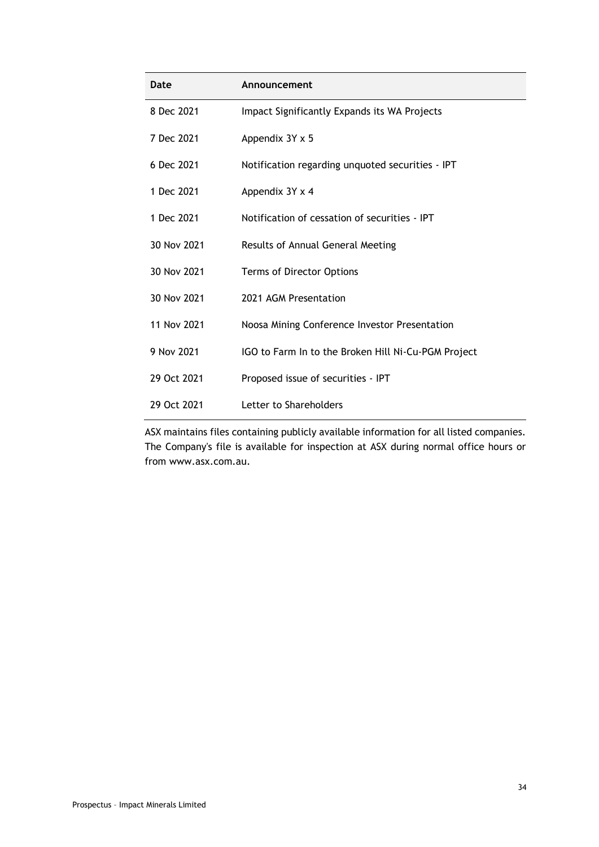| Date        | Announcement                                        |  |  |  |  |
|-------------|-----------------------------------------------------|--|--|--|--|
| 8 Dec 2021  | Impact Significantly Expands its WA Projects        |  |  |  |  |
| 7 Dec 2021  | Appendix 3Y x 5                                     |  |  |  |  |
| 6 Dec 2021  | Notification regarding unquoted securities - IPT    |  |  |  |  |
| 1 Dec 2021  | Appendix 3Y x 4                                     |  |  |  |  |
| 1 Dec 2021  | Notification of cessation of securities - IPT       |  |  |  |  |
| 30 Nov 2021 | Results of Annual General Meeting                   |  |  |  |  |
| 30 Nov 2021 | Terms of Director Options                           |  |  |  |  |
| 30 Nov 2021 | 2021 AGM Presentation                               |  |  |  |  |
| 11 Nov 2021 | Noosa Mining Conference Investor Presentation       |  |  |  |  |
| 9 Nov 2021  | IGO to Farm In to the Broken Hill Ni-Cu-PGM Project |  |  |  |  |
| 29 Oct 2021 | Proposed issue of securities - IPT                  |  |  |  |  |
| 29 Oct 2021 | Letter to Shareholders                              |  |  |  |  |

ASX maintains files containing publicly available information for all listed companies. The Company's file is available for inspection at ASX during normal office hours or from www.asx.com.au.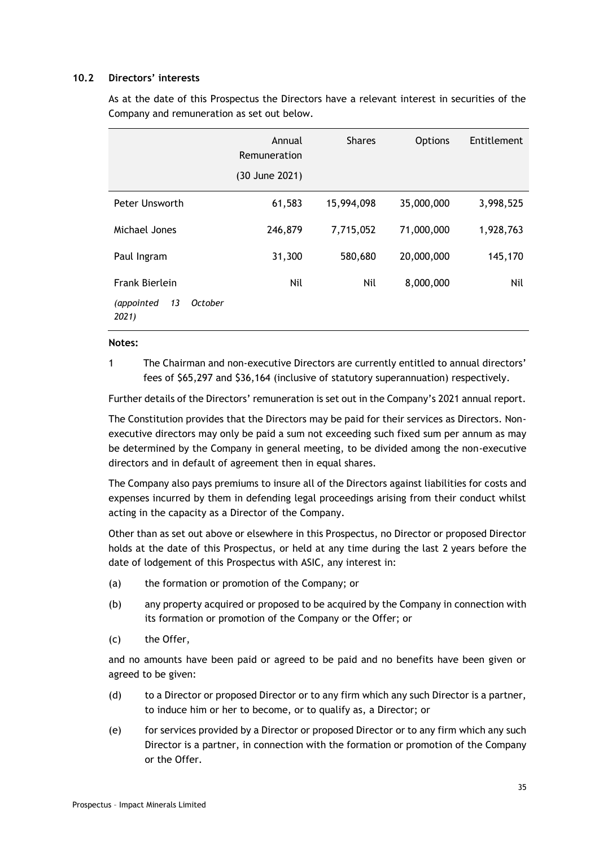#### **10.2 Directors' interests**

As at the date of this Prospectus the Directors have a relevant interest in securities of the Company and remuneration as set out below.

|                                      | Annual<br>Remuneration | <b>Shares</b> | <b>Options</b> | Entitlement |
|--------------------------------------|------------------------|---------------|----------------|-------------|
|                                      | (30 June 2021)         |               |                |             |
| Peter Unsworth                       | 61,583                 | 15,994,098    | 35,000,000     | 3,998,525   |
| Michael Jones                        | 246,879                | 7,715,052     | 71,000,000     | 1,928,763   |
| Paul Ingram                          | 31,300                 | 580,680       | 20,000,000     | 145,170     |
| Frank Bierlein                       | Nil                    | Nil           | 8,000,000      | Nil         |
| 13<br>(appointed<br>October<br>2021) |                        |               |                |             |

#### **Notes:**

1 The Chairman and non-executive Directors are currently entitled to annual directors' fees of \$65,297 and \$36,164 (inclusive of statutory superannuation) respectively.

Further details of the Directors' remuneration is set out in the Company's 2021 annual report.

The Constitution provides that the Directors may be paid for their services as Directors. Nonexecutive directors may only be paid a sum not exceeding such fixed sum per annum as may be determined by the Company in general meeting, to be divided among the non-executive directors and in default of agreement then in equal shares.

The Company also pays premiums to insure all of the Directors against liabilities for costs and expenses incurred by them in defending legal proceedings arising from their conduct whilst acting in the capacity as a Director of the Company.

Other than as set out above or elsewhere in this Prospectus, no Director or proposed Director holds at the date of this Prospectus, or held at any time during the last 2 years before the date of lodgement of this Prospectus with ASIC, any interest in:

- (a) the formation or promotion of the Company; or
- (b) any property acquired or proposed to be acquired by the Company in connection with its formation or promotion of the Company or the Offer; or
- (c) the Offer,

and no amounts have been paid or agreed to be paid and no benefits have been given or agreed to be given:

- (d) to a Director or proposed Director or to any firm which any such Director is a partner, to induce him or her to become, or to qualify as, a Director; or
- (e) for services provided by a Director or proposed Director or to any firm which any such Director is a partner, in connection with the formation or promotion of the Company or the Offer.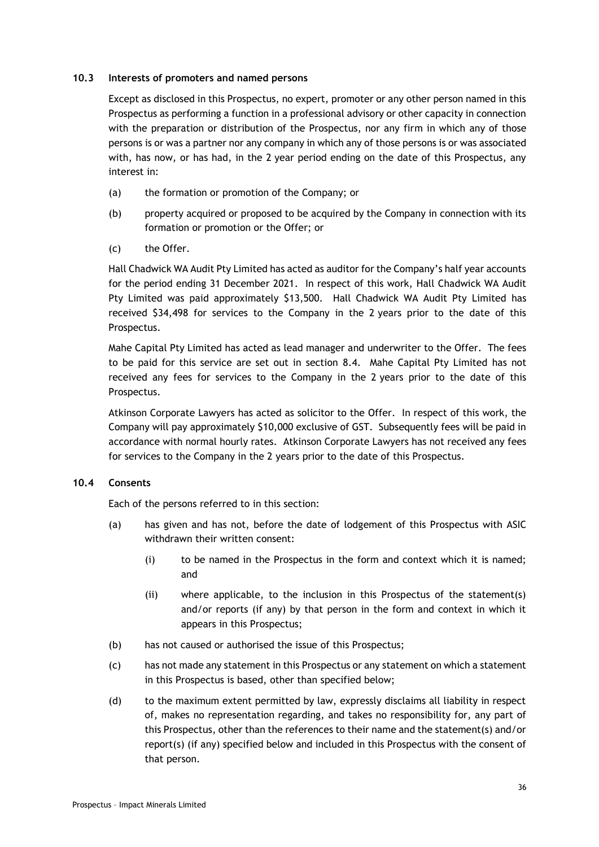#### **10.3 Interests of promoters and named persons**

Except as disclosed in this Prospectus, no expert, promoter or any other person named in this Prospectus as performing a function in a professional advisory or other capacity in connection with the preparation or distribution of the Prospectus, nor any firm in which any of those persons is or was a partner nor any company in which any of those persons is or was associated with, has now, or has had, in the 2 year period ending on the date of this Prospectus, any interest in:

- (a) the formation or promotion of the Company; or
- (b) property acquired or proposed to be acquired by the Company in connection with its formation or promotion or the Offer; or
- (c) the Offer.

Hall Chadwick WA Audit Pty Limited has acted as auditor for the Company's half year accounts for the period ending 31 December 2021. In respect of this work, Hall Chadwick WA Audit Pty Limited was paid approximately \$13,500. Hall Chadwick WA Audit Pty Limited has received \$34,498 for services to the Company in the 2 years prior to the date of this Prospectus.

Mahe Capital Pty Limited has acted as lead manager and underwriter to the Offer. The fees to be paid for this service are set out in section [8.4.](#page-20-1) Mahe Capital Pty Limited has not received any fees for services to the Company in the 2 years prior to the date of this Prospectus.

Atkinson Corporate Lawyers has acted as solicitor to the Offer. In respect of this work, the Company will pay approximately \$10,000 exclusive of GST. Subsequently fees will be paid in accordance with normal hourly rates. Atkinson Corporate Lawyers has not received any fees for services to the Company in the 2 years prior to the date of this Prospectus.

## **10.4 Consents**

Each of the persons referred to in this section:

- (a) has given and has not, before the date of lodgement of this Prospectus with ASIC withdrawn their written consent:
	- (i) to be named in the Prospectus in the form and context which it is named; and
	- (ii) where applicable, to the inclusion in this Prospectus of the statement(s) and/or reports (if any) by that person in the form and context in which it appears in this Prospectus;
- (b) has not caused or authorised the issue of this Prospectus;
- (c) has not made any statement in this Prospectus or any statement on which a statement in this Prospectus is based, other than specified below;
- (d) to the maximum extent permitted by law, expressly disclaims all liability in respect of, makes no representation regarding, and takes no responsibility for, any part of this Prospectus, other than the references to their name and the statement(s) and/or report(s) (if any) specified below and included in this Prospectus with the consent of that person.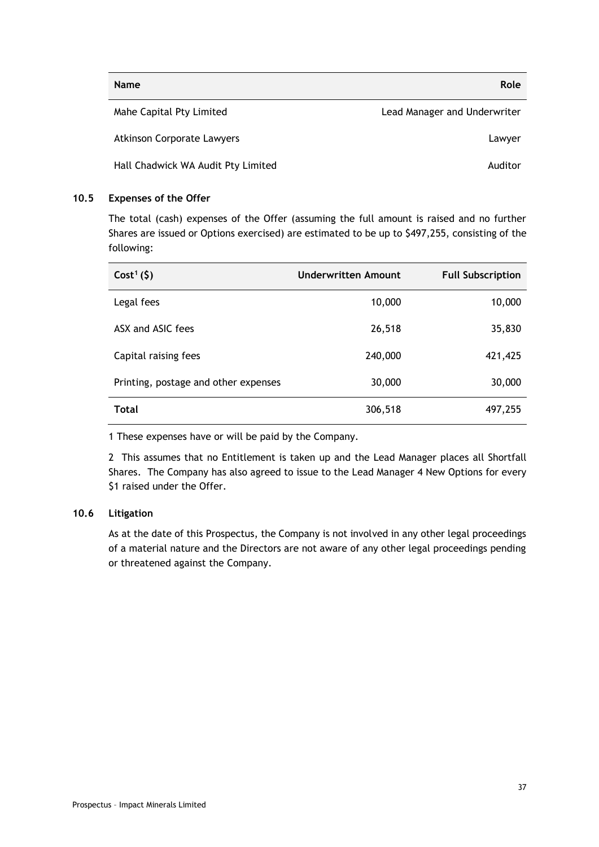| <b>Name</b>                        | Role                         |
|------------------------------------|------------------------------|
| Mahe Capital Pty Limited           | Lead Manager and Underwriter |
| <b>Atkinson Corporate Lawyers</b>  | Lawyer                       |
| Hall Chadwick WA Audit Pty Limited | Auditor                      |

## <span id="page-36-0"></span>**10.5 Expenses of the Offer**

The total (cash) expenses of the Offer (assuming the full amount is raised and no further Shares are issued or Options exercised) are estimated to be up to \$497,255, consisting of the following:

| $Cost1(\xi)$                         | Underwritten Amount | <b>Full Subscription</b> |
|--------------------------------------|---------------------|--------------------------|
| Legal fees                           | 10,000              | 10,000                   |
| ASX and ASIC fees                    | 26,518              | 35,830                   |
| Capital raising fees                 | 240,000             | 421,425                  |
| Printing, postage and other expenses | 30,000              | 30,000                   |
| <b>Total</b>                         | 306,518             | 497,255                  |

1 These expenses have or will be paid by the Company.

2 This assumes that no Entitlement is taken up and the Lead Manager places all Shortfall Shares. The Company has also agreed to issue to the Lead Manager 4 New Options for every \$1 raised under the Offer.

## **10.6 Litigation**

As at the date of this Prospectus, the Company is not involved in any other legal proceedings of a material nature and the Directors are not aware of any other legal proceedings pending or threatened against the Company.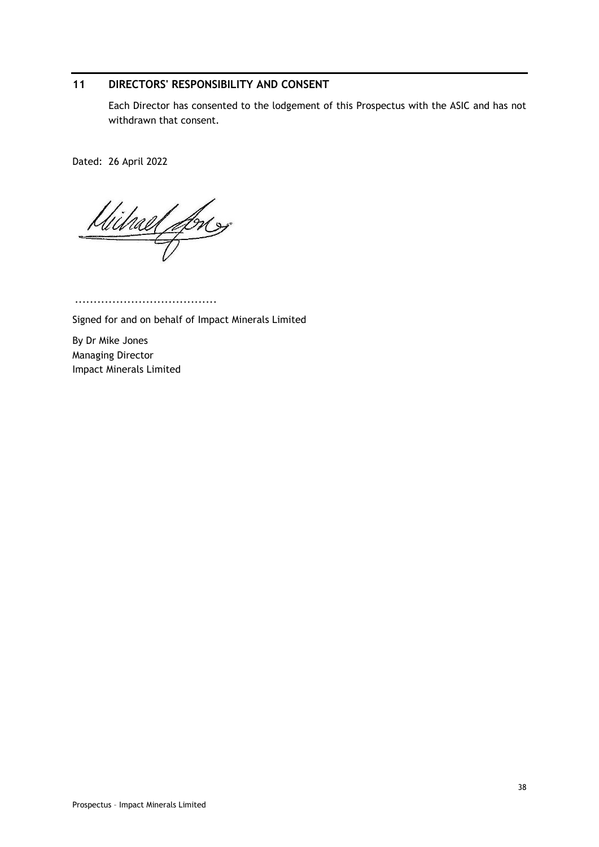# <span id="page-37-0"></span>**11 DIRECTORS' RESPONSIBILITY AND CONSENT**

Each Director has consented to the lodgement of this Prospectus with the ASIC and has not withdrawn that consent.

Dated: 26 April 2022

Wilhael Long

...................................... Signed for and on behalf of Impact Minerals Limited

By Dr Mike Jones Managing Director Impact Minerals Limited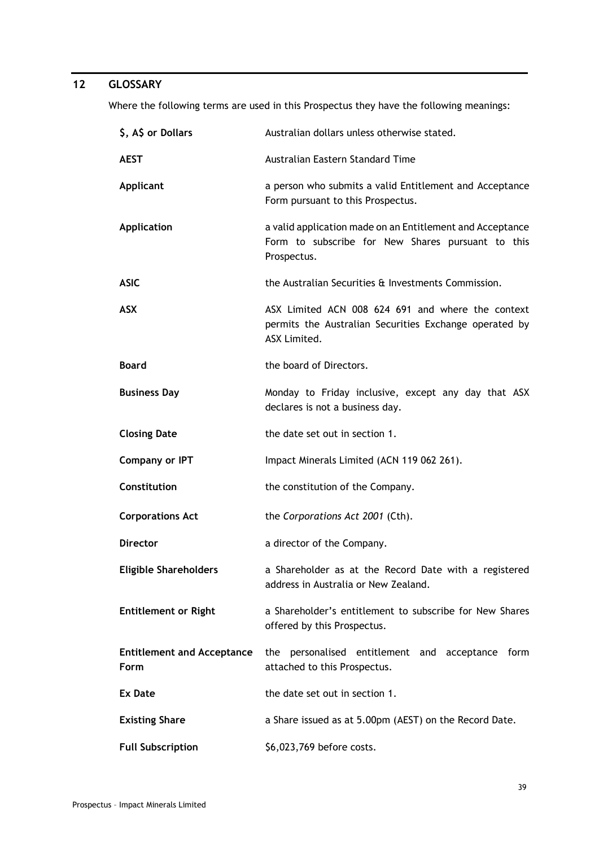# <span id="page-38-0"></span>**12 GLOSSARY**

Where the following terms are used in this Prospectus they have the following meanings:

| \$, A\$ or Dollars                        | Australian dollars unless otherwise stated.                                                                                   |  |  |  |  |
|-------------------------------------------|-------------------------------------------------------------------------------------------------------------------------------|--|--|--|--|
| <b>AEST</b>                               | Australian Eastern Standard Time                                                                                              |  |  |  |  |
| <b>Applicant</b>                          | a person who submits a valid Entitlement and Acceptance<br>Form pursuant to this Prospectus.                                  |  |  |  |  |
| <b>Application</b>                        | a valid application made on an Entitlement and Acceptance<br>Form to subscribe for New Shares pursuant to this<br>Prospectus. |  |  |  |  |
| <b>ASIC</b>                               | the Australian Securities & Investments Commission.                                                                           |  |  |  |  |
| <b>ASX</b>                                | ASX Limited ACN 008 624 691 and where the context<br>permits the Australian Securities Exchange operated by<br>ASX Limited.   |  |  |  |  |
| <b>Board</b>                              | the board of Directors.                                                                                                       |  |  |  |  |
| <b>Business Day</b>                       | Monday to Friday inclusive, except any day that ASX<br>declares is not a business day.                                        |  |  |  |  |
| <b>Closing Date</b>                       | the date set out in section 1.                                                                                                |  |  |  |  |
| <b>Company or IPT</b>                     | Impact Minerals Limited (ACN 119 062 261).                                                                                    |  |  |  |  |
| Constitution                              | the constitution of the Company.                                                                                              |  |  |  |  |
| <b>Corporations Act</b>                   | the Corporations Act 2001 (Cth).                                                                                              |  |  |  |  |
| <b>Director</b>                           | a director of the Company.                                                                                                    |  |  |  |  |
| <b>Eligible Shareholders</b>              | a Shareholder as at the Record Date with a registered<br>address in Australia or New Zealand.                                 |  |  |  |  |
| <b>Entitlement or Right</b>               | a Shareholder's entitlement to subscribe for New Shares<br>offered by this Prospectus.                                        |  |  |  |  |
| <b>Entitlement and Acceptance</b><br>Form | the<br>personalised entitlement and acceptance form<br>attached to this Prospectus.                                           |  |  |  |  |
| Ex Date                                   | the date set out in section 1.                                                                                                |  |  |  |  |
| <b>Existing Share</b>                     | a Share issued as at 5.00pm (AEST) on the Record Date.                                                                        |  |  |  |  |
| <b>Full Subscription</b>                  | \$6,023,769 before costs.                                                                                                     |  |  |  |  |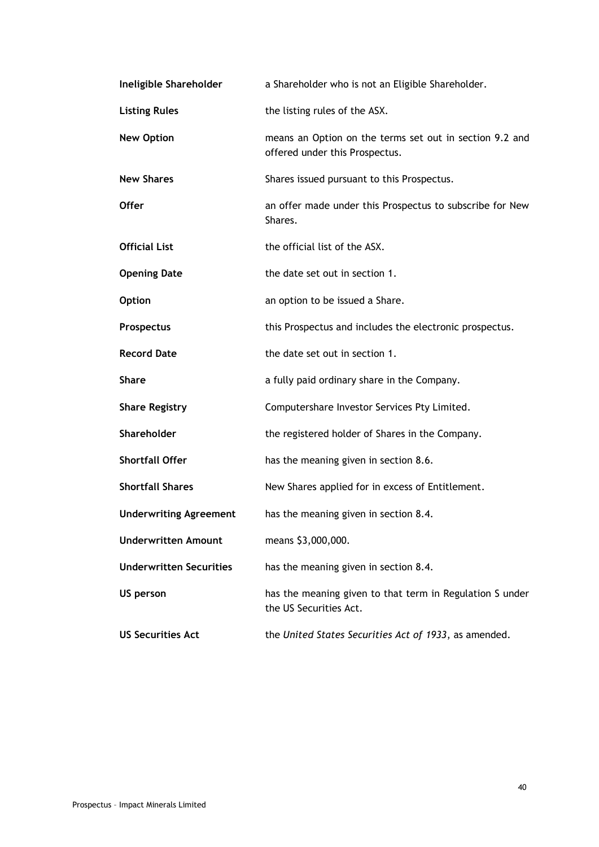| Ineligible Shareholder         | a Shareholder who is not an Eligible Shareholder.                                         |  |  |
|--------------------------------|-------------------------------------------------------------------------------------------|--|--|
| <b>Listing Rules</b>           | the listing rules of the ASX.                                                             |  |  |
| <b>New Option</b>              | means an Option on the terms set out in section 9.2 and<br>offered under this Prospectus. |  |  |
| <b>New Shares</b>              | Shares issued pursuant to this Prospectus.                                                |  |  |
| <b>Offer</b>                   | an offer made under this Prospectus to subscribe for New<br>Shares.                       |  |  |
| <b>Official List</b>           | the official list of the ASX.                                                             |  |  |
| <b>Opening Date</b>            | the date set out in section 1.                                                            |  |  |
| <b>Option</b>                  | an option to be issued a Share.                                                           |  |  |
| Prospectus                     | this Prospectus and includes the electronic prospectus.                                   |  |  |
| <b>Record Date</b>             | the date set out in section 1.                                                            |  |  |
| <b>Share</b>                   | a fully paid ordinary share in the Company.                                               |  |  |
| <b>Share Registry</b>          | Computershare Investor Services Pty Limited.                                              |  |  |
| Shareholder                    | the registered holder of Shares in the Company.                                           |  |  |
| <b>Shortfall Offer</b>         | has the meaning given in section 8.6.                                                     |  |  |
| <b>Shortfall Shares</b>        | New Shares applied for in excess of Entitlement.                                          |  |  |
| <b>Underwriting Agreement</b>  | has the meaning given in section 8.4.                                                     |  |  |
| <b>Underwritten Amount</b>     | means \$3,000,000.                                                                        |  |  |
| <b>Underwritten Securities</b> | has the meaning given in section 8.4.                                                     |  |  |
| US person                      | has the meaning given to that term in Regulation S under<br>the US Securities Act.        |  |  |
| <b>US Securities Act</b>       | the United States Securities Act of 1933, as amended.                                     |  |  |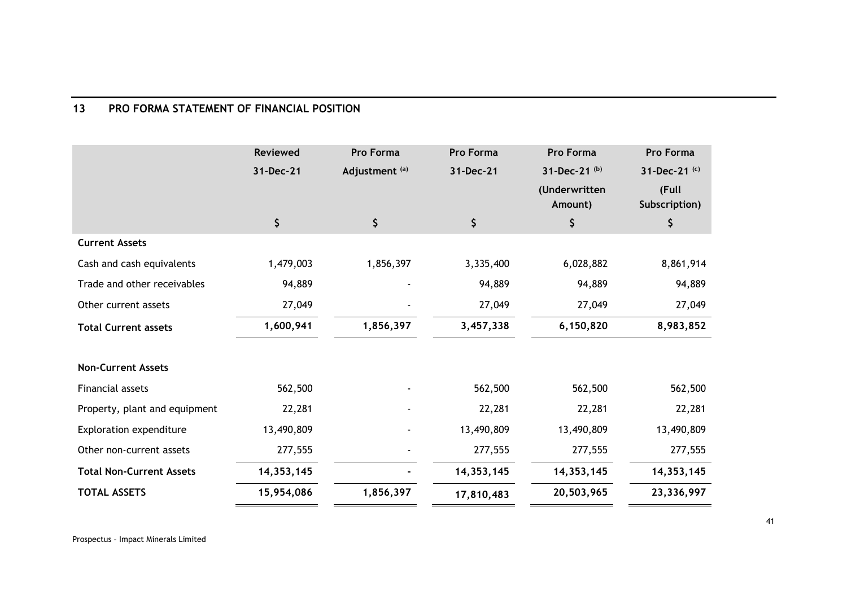# **13 PRO FORMA STATEMENT OF FINANCIAL POSITION**

<span id="page-40-0"></span>

|                                 | Reviewed     | <b>Pro Forma</b> | <b>Pro Forma</b> | Pro Forma     | Pro Forma     |
|---------------------------------|--------------|------------------|------------------|---------------|---------------|
|                                 | 31-Dec-21    | Adjustment (a)   | 31-Dec-21        | 31-Dec-21 (b) | 31-Dec-21 (c) |
|                                 |              |                  |                  | (Underwritten | (Full         |
|                                 |              |                  |                  | Amount)       | Subscription) |
|                                 | \$           | \$               | \$               | \$            | \$            |
| <b>Current Assets</b>           |              |                  |                  |               |               |
| Cash and cash equivalents       | 1,479,003    | 1,856,397        | 3,335,400        | 6,028,882     | 8,861,914     |
| Trade and other receivables     | 94,889       |                  | 94,889           | 94,889        | 94,889        |
| Other current assets            | 27,049       |                  | 27,049           | 27,049        | 27,049        |
| <b>Total Current assets</b>     | 1,600,941    | 1,856,397        | 3,457,338        | 6,150,820     | 8,983,852     |
| <b>Non-Current Assets</b>       |              |                  |                  |               |               |
| Financial assets                | 562,500      |                  | 562,500          | 562,500       | 562,500       |
| Property, plant and equipment   | 22,281       |                  | 22,281           | 22,281        | 22,281        |
| Exploration expenditure         | 13,490,809   |                  | 13,490,809       | 13,490,809    | 13,490,809    |
| Other non-current assets        | 277,555      |                  | 277,555          | 277,555       | 277,555       |
| <b>Total Non-Current Assets</b> | 14, 353, 145 |                  | 14,353,145       | 14,353,145    | 14, 353, 145  |
| <b>TOTAL ASSETS</b>             | 15,954,086   | 1,856,397        | 17,810,483       | 20,503,965    | 23,336,997    |

Prospectus – Impact Minerals Limited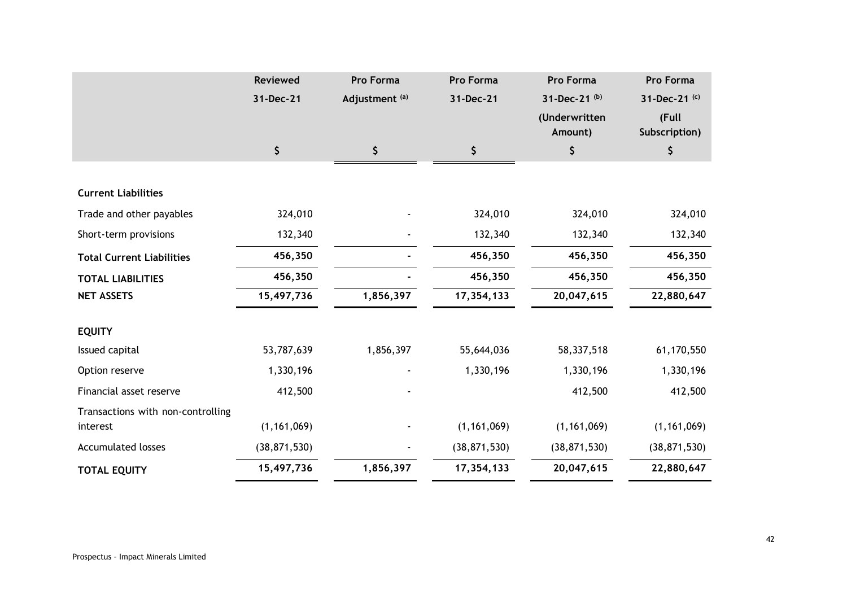|                                   | <b>Reviewed</b> | Pro Forma                 | <b>Pro Forma</b> | Pro Forma      | Pro Forma      |
|-----------------------------------|-----------------|---------------------------|------------------|----------------|----------------|
|                                   | 31-Dec-21       | Adjustment <sup>(a)</sup> | 31-Dec-21        | 31-Dec-21 (b)  | 31-Dec-21 (c)  |
|                                   |                 |                           |                  | (Underwritten  | (Full          |
|                                   |                 |                           |                  | Amount)        | Subscription)  |
|                                   | \$              | \$                        | \$               | \$             | \$             |
|                                   |                 |                           |                  |                |                |
| <b>Current Liabilities</b>        |                 |                           |                  |                |                |
| Trade and other payables          | 324,010         |                           | 324,010          | 324,010        | 324,010        |
| Short-term provisions             | 132,340         |                           | 132,340          | 132,340        | 132,340        |
| <b>Total Current Liabilities</b>  | 456,350         |                           | 456,350          | 456,350        | 456,350        |
| <b>TOTAL LIABILITIES</b>          | 456,350         |                           | 456,350          | 456,350        | 456,350        |
| <b>NET ASSETS</b>                 | 15,497,736      | 1,856,397                 | 17,354,133       | 20,047,615     | 22,880,647     |
| <b>EQUITY</b>                     |                 |                           |                  |                |                |
| Issued capital                    | 53,787,639      | 1,856,397                 | 55,644,036       | 58,337,518     | 61,170,550     |
| Option reserve                    | 1,330,196       |                           | 1,330,196        | 1,330,196      | 1,330,196      |
| Financial asset reserve           | 412,500         |                           |                  | 412,500        | 412,500        |
| Transactions with non-controlling |                 |                           |                  |                |                |
| interest                          | (1, 161, 069)   |                           | (1, 161, 069)    | (1, 161, 069)  | (1, 161, 069)  |
| <b>Accumulated losses</b>         | (38, 871, 530)  |                           | (38, 871, 530)   | (38, 871, 530) | (38, 871, 530) |
| <b>TOTAL EQUITY</b>               | 15,497,736      | 1,856,397                 | 17,354,133       | 20,047,615     | 22,880,647     |